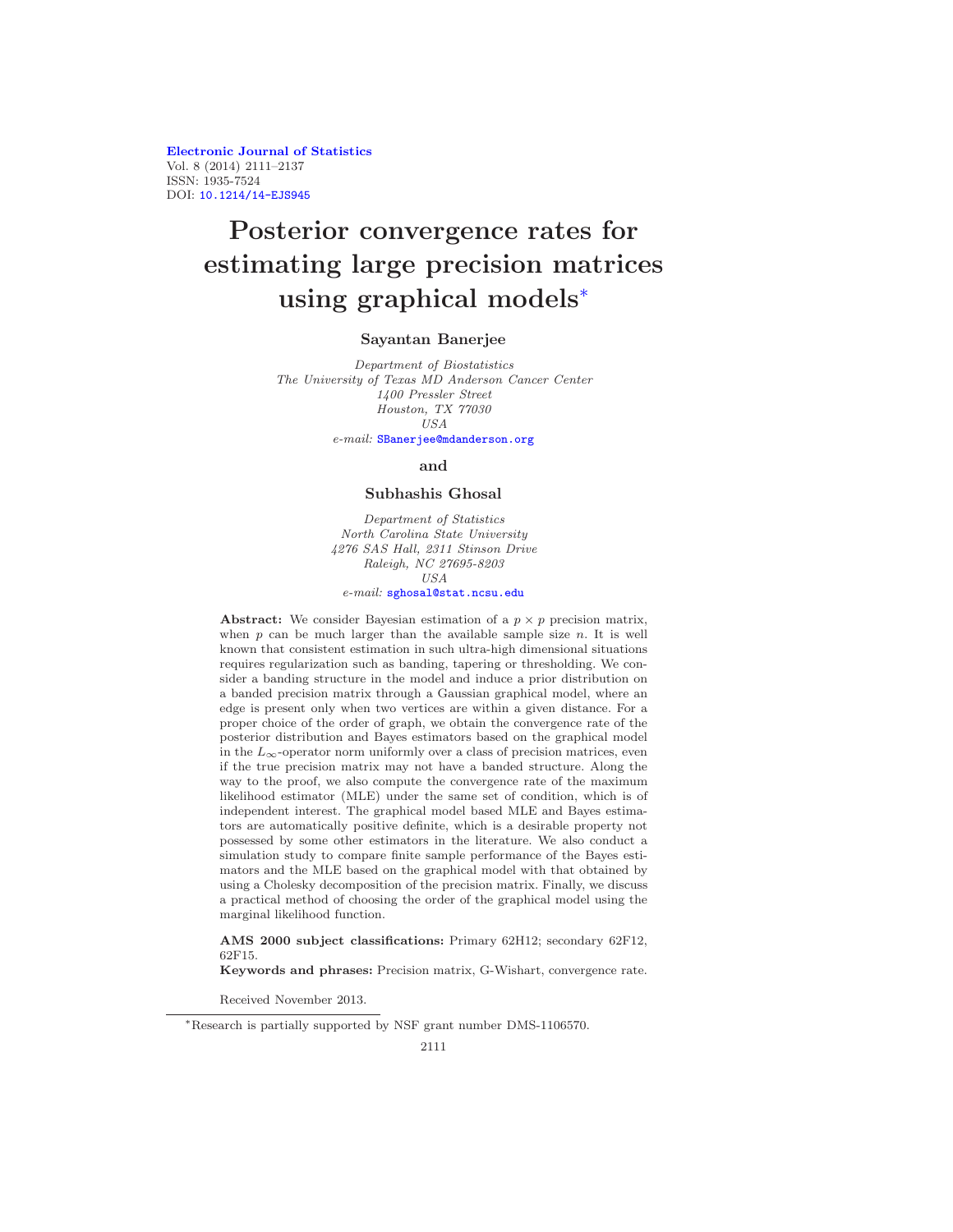Electronic Journal of Statistics Vol. 8 (2014) 2111–2137 ISSN: 1935-7524 DOI: 10.1214/14-EJS945

# Posterior convergence rates for estimating large precision matrices using graphical models<sup>∗</sup>

### Sayantan Banerjee

Department of Biostatistics The University of Texas MD Anderson Cancer Center 1400 Pressler Street Houston, TX 77030 USA e-mail: SBanerjee@mdanderson.org

#### and

## Subhashis Ghosal

Department of Statistics North Carolina State University 4276 SAS Hall, 2311 Stinson Drive Raleigh, NC 27695-8203 USA e-mail: sghosal@stat.ncsu.edu

**Abstract:** We consider Bayesian estimation of a  $p \times p$  precision matrix, when  $p$  can be much larger than the available sample size  $n$ . It is well known that consistent estimation in such ultra-high dimensional situations requires regularization such as banding, tapering or thresholding. We consider a banding structure in the model and induce a prior distribution on a banded precision matrix through a Gaussian graphical model, where an edge is present only when two vertices are within a given distance. For a proper choice of the order of graph, we obtain the convergence rate of the posterior distribution and Bayes estimators based on the graphical model in the  $L_{\infty}$ -operator norm uniformly over a class of precision matrices, even if the true precision matrix may not have a banded structure. Along the way to the proof, we also compute the convergence rate of the maximum likelihood estimator (MLE) under the same set of condition, which is of independent interest. The graphical model based MLE and Bayes estimators are automatically positive definite, which is a desirable property not possessed by some other estimators in the literature. We also conduct a simulation study to compare finite sample performance of the Bayes estimators and the MLE based on the graphical model with that obtained by using a Cholesky decomposition of the precision matrix. Finally, we discuss a practical method of choosing the order of the graphical model using the marginal likelihood function.

AMS 2000 subject classifications: Primary 62H12; secondary 62F12, 62F15.

Keywords and phrases: Precision matrix, G-Wishart, convergence rate.

Received November 2013.

<sup>∗</sup>Research is partially supported by NSF grant number DMS-1106570.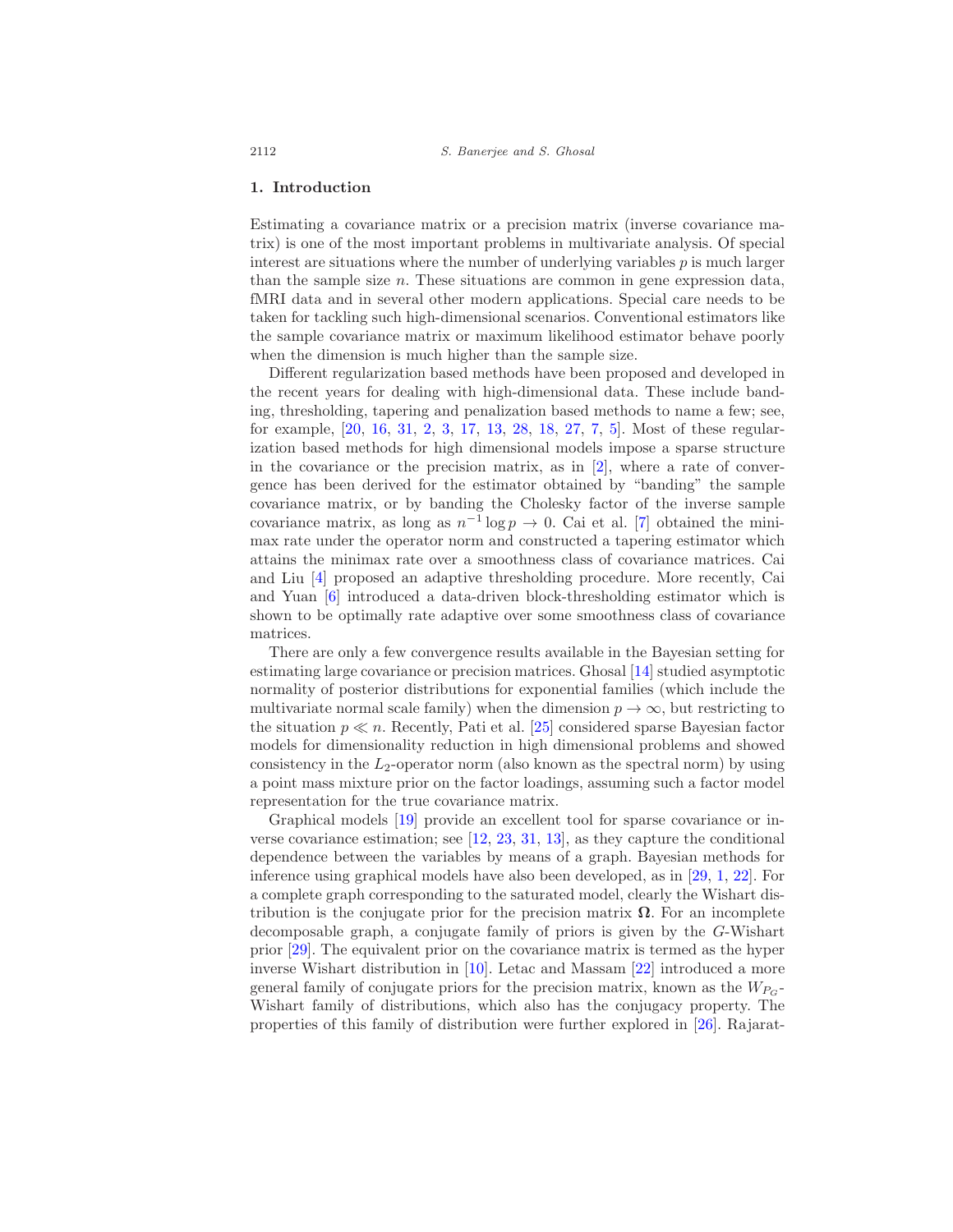#### 1. Introduction

Estimating a covariance matrix or a precision matrix (inverse covariance matrix) is one of the most important problems in multivariate analysis. Of special interest are situations where the number of underlying variables  $p$  is much larger than the sample size  $n$ . These situations are common in gene expression data, fMRI data and in several other modern applications. Special care needs to be taken for tackling such high-dimensional scenarios. Conventional estimators like the sample covariance matrix or maximum likelihood estimator behave poorly when the dimension is much higher than the sample size.

Different regularization based methods have been proposed and developed in the recent years for dealing with high-dimensional data. These include banding, thresholding, tapering and penalization based methods to name a few; see, for example, [20, 16, 31, 2, 3, 17, 13, 28, 18, 27, 7, 5]. Most of these regularization based methods for high dimensional models impose a sparse structure in the covariance or the precision matrix, as in  $[2]$ , where a rate of convergence has been derived for the estimator obtained by "banding" the sample covariance matrix, or by banding the Cholesky factor of the inverse sample covariance matrix, as long as  $n^{-1} \log p \to 0$ . Cai et al. [7] obtained the minimax rate under the operator norm and constructed a tapering estimator which attains the minimax rate over a smoothness class of covariance matrices. Cai and Liu [4] proposed an adaptive thresholding procedure. More recently, Cai and Yuan [6] introduced a data-driven block-thresholding estimator which is shown to be optimally rate adaptive over some smoothness class of covariance matrices.

There are only a few convergence results available in the Bayesian setting for estimating large covariance or precision matrices. Ghosal [14] studied asymptotic normality of posterior distributions for exponential families (which include the multivariate normal scale family) when the dimension  $p \to \infty$ , but restricting to the situation  $p \ll n$ . Recently, Pati et al. [25] considered sparse Bayesian factor models for dimensionality reduction in high dimensional problems and showed consistency in the  $L_2$ -operator norm (also known as the spectral norm) by using a point mass mixture prior on the factor loadings, assuming such a factor model representation for the true covariance matrix.

Graphical models [19] provide an excellent tool for sparse covariance or inverse covariance estimation; see  $[12, 23, 31, 13]$ , as they capture the conditional dependence between the variables by means of a graph. Bayesian methods for inference using graphical models have also been developed, as in [29, 1, 22]. For a complete graph corresponding to the saturated model, clearly the Wishart distribution is the conjugate prior for the precision matrix  $\Omega$ . For an incomplete decomposable graph, a conjugate family of priors is given by the G-Wishart prior [29]. The equivalent prior on the covariance matrix is termed as the hyper inverse Wishart distribution in [10]. Letac and Massam [22] introduced a more general family of conjugate priors for the precision matrix, known as the  $W_{P_G}$ -Wishart family of distributions, which also has the conjugacy property. The properties of this family of distribution were further explored in [26]. Rajarat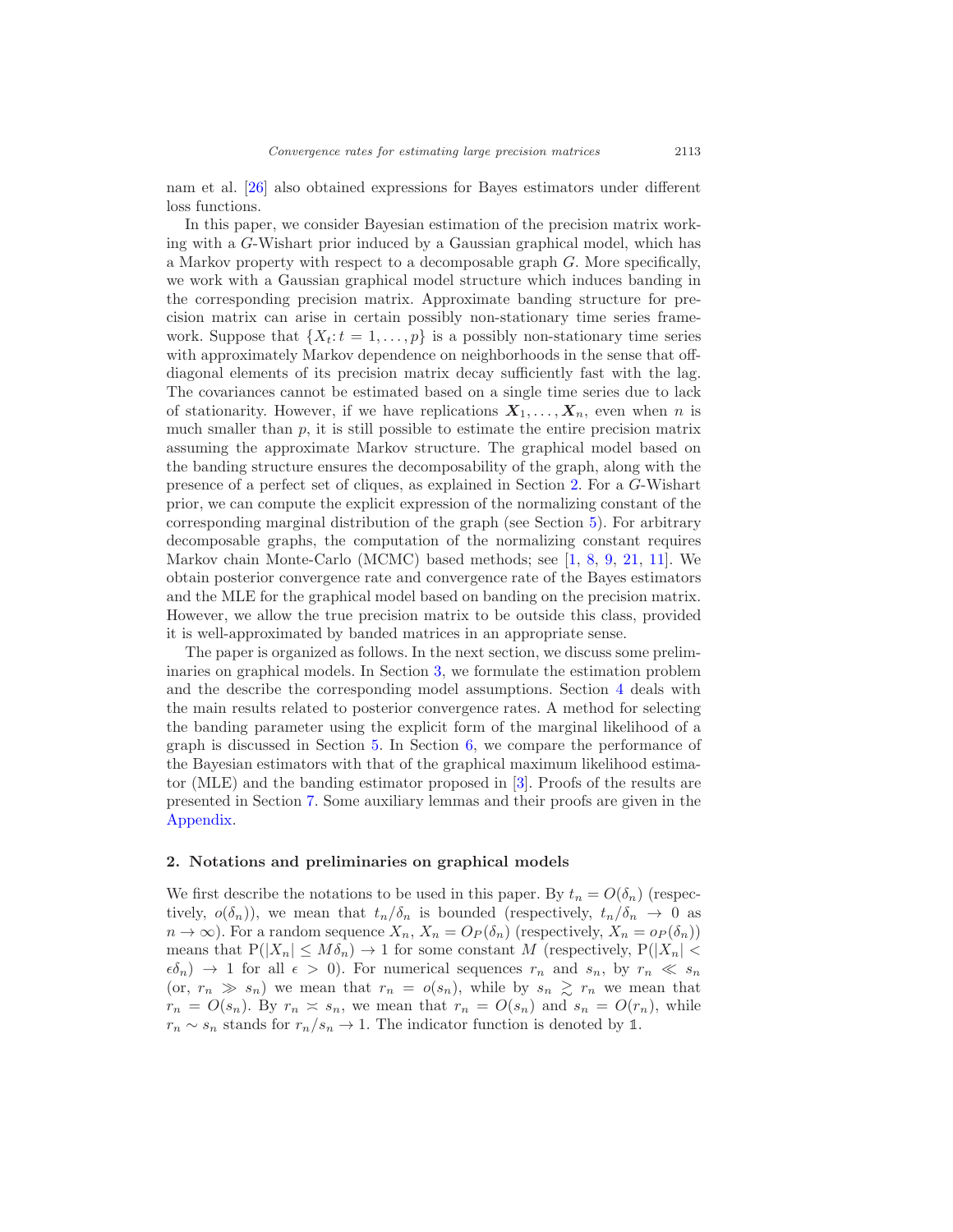nam et al. [26] also obtained expressions for Bayes estimators under different loss functions.

In this paper, we consider Bayesian estimation of the precision matrix working with a G-Wishart prior induced by a Gaussian graphical model, which has a Markov property with respect to a decomposable graph G. More specifically, we work with a Gaussian graphical model structure which induces banding in the corresponding precision matrix. Approximate banding structure for precision matrix can arise in certain possibly non-stationary time series framework. Suppose that  $\{X_t:t=1,\ldots,p\}$  is a possibly non-stationary time series with approximately Markov dependence on neighborhoods in the sense that offdiagonal elements of its precision matrix decay sufficiently fast with the lag. The covariances cannot be estimated based on a single time series due to lack of stationarity. However, if we have replications  $X_1, \ldots, X_n$ , even when n is much smaller than  $p$ , it is still possible to estimate the entire precision matrix assuming the approximate Markov structure. The graphical model based on the banding structure ensures the decomposability of the graph, along with the presence of a perfect set of cliques, as explained in Section 2. For a G-Wishart prior, we can compute the explicit expression of the normalizing constant of the corresponding marginal distribution of the graph (see Section 5). For arbitrary decomposable graphs, the computation of the normalizing constant requires Markov chain Monte-Carlo (MCMC) based methods; see [1, 8, 9, 21, 11]. We obtain posterior convergence rate and convergence rate of the Bayes estimators and the MLE for the graphical model based on banding on the precision matrix. However, we allow the true precision matrix to be outside this class, provided it is well-approximated by banded matrices in an appropriate sense.

The paper is organized as follows. In the next section, we discuss some preliminaries on graphical models. In Section 3, we formulate the estimation problem and the describe the corresponding model assumptions. Section 4 deals with the main results related to posterior convergence rates. A method for selecting the banding parameter using the explicit form of the marginal likelihood of a graph is discussed in Section 5. In Section 6, we compare the performance of the Bayesian estimators with that of the graphical maximum likelihood estimator (MLE) and the banding estimator proposed in [3]. Proofs of the results are presented in Section 7. Some auxiliary lemmas and their proofs are given in the Appendix.

### 2. Notations and preliminaries on graphical models

We first describe the notations to be used in this paper. By  $t_n = O(\delta_n)$  (respectively,  $o(\delta_n)$ , we mean that  $t_n/\delta_n$  is bounded (respectively,  $t_n/\delta_n \to 0$  as  $n \to \infty$ ). For a random sequence  $X_n$ ,  $X_n = O_P(\delta_n)$  (respectively,  $X_n = o_P(\delta_n)$ ) means that  $P(|X_n| \leq M\delta_n) \to 1$  for some constant M (respectively,  $P(|X_n| <$  $\epsilon \delta_n$   $\rightarrow$  1 for all  $\epsilon$   $>$  0). For numerical sequences  $r_n$  and  $s_n$ , by  $r_n \ll s_n$ (or,  $r_n \gg s_n$ ) we mean that  $r_n = o(s_n)$ , while by  $s_n \gtrsim r_n$  we mean that  $r_n = O(s_n)$ . By  $r_n \simeq s_n$ , we mean that  $r_n = O(s_n)$  and  $s_n = O(r_n)$ , while  $r_n \sim s_n$  stands for  $r_n/s_n \to 1$ . The indicator function is denoted by 1.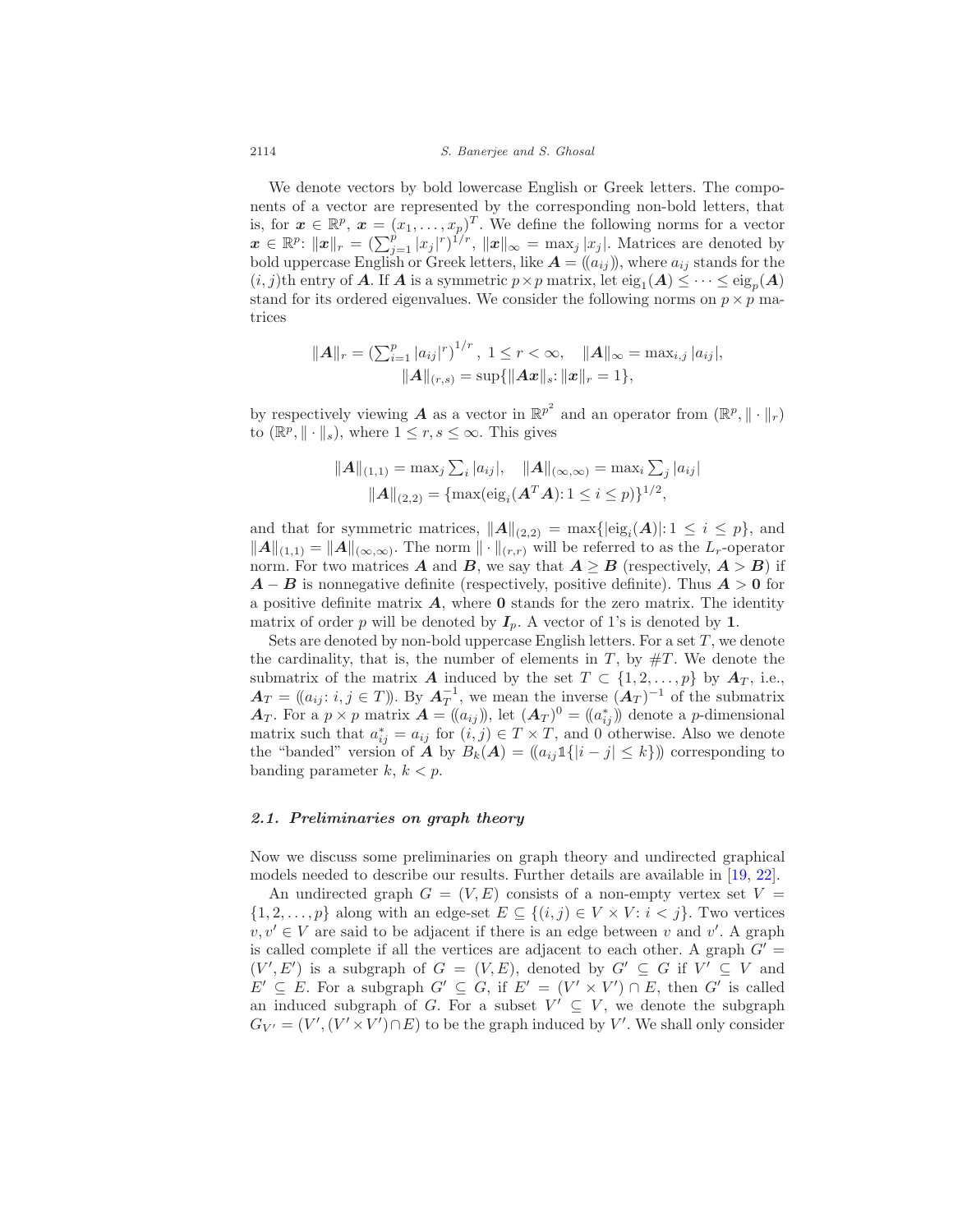We denote vectors by bold lowercase English or Greek letters. The components of a vector are represented by the corresponding non-bold letters, that is, for  $\mathbf{x} \in \mathbb{R}^p$ ,  $\mathbf{x} = (x_1, \ldots, x_p)^T$ . We define the following norms for a vector  $\boldsymbol{x} \in \mathbb{R}^p$ :  $\|\boldsymbol{x}\|_r = \left(\sum_{j=1}^p |x_j|^r\right)^{1/r}$ ,  $\|\boldsymbol{x}\|_{\infty} = \max_j |x_j|$ . Matrices are denoted by bold uppercase English or Greek letters, like  $A = (a_{ij})$ , where  $a_{ij}$  stands for the  $(i, j)$ th entry of **A**. If **A** is a symmetric  $p \times p$  matrix, let  $\text{eig}_1(A) \leq \cdots \leq \text{eig}_p(A)$ stand for its ordered eigenvalues. We consider the following norms on  $p \times p$  matrices

$$
||A||_r = \left(\sum_{i=1}^p |a_{ij}|^r\right)^{1/r}, \ 1 \leq r < \infty, \quad ||A||_{\infty} = \max_{i,j} |a_{ij}|, ||A||_{(r,s)} = \sup\{||Ax||_s: ||x||_r = 1\},
$$

by respectively viewing **A** as a vector in  $\mathbb{R}^{p^2}$  and an operator from  $(\mathbb{R}^p, \|\cdot\|_r)$ to  $(\mathbb{R}^p, \|\cdot\|_s)$ , where  $1 \leq r, s \leq \infty$ . This gives

$$
\|\mathbf{A}\|_{(1,1)} = \max_j \sum_i |a_{ij}|, \quad \|\mathbf{A}\|_{(\infty,\infty)} = \max_i \sum_j |a_{ij}|
$$

$$
\|\mathbf{A}\|_{(2,2)} = \{\max(\text{eig}_i(\mathbf{A}^T\mathbf{A}): 1 \le i \le p)\}^{1/2},
$$

and that for symmetric matrices,  $||A||_{(2,2)} = \max{|eig_i(A)|: 1 \leq i \leq p}$ , and  $||A||_{(1,1)} = ||A||_{(\infty,\infty)}$ . The norm  $|| \cdot ||_{(r,r)}$  will be referred to as the  $L_r$ -operator norm. For two matrices **A** and **B**, we say that  $A \geq B$  (respectively,  $A > B$ ) if  $A - B$  is nonnegative definite (respectively, positive definite). Thus  $A > 0$  for a positive definite matrix  $\vec{A}$ , where  $\vec{0}$  stands for the zero matrix. The identity matrix of order p will be denoted by  $I_p$ . A vector of 1's is denoted by 1.

Sets are denoted by non-bold uppercase English letters. For a set  $T$ , we denote the cardinality, that is, the number of elements in  $T$ , by  $\#T$ . We denote the submatrix of the matrix A induced by the set  $T \subset \{1, 2, \ldots, p\}$  by  $A_T$ , i.e.,  $\mathbf{A}_T = ((a_{ij}: i, j \in T))$ . By  $\mathbf{A}_T^{-1}$ , we mean the inverse  $(\mathbf{A}_T)^{-1}$  of the submatrix  $A_T$ . For a  $p \times p$  matrix  $A = ((a_{ij})$ , let  $(A_T)^0 = ((a_{ij}^*)$  denote a p-dimensional matrix such that  $a_{ij}^* = a_{ij}$  for  $(i, j) \in T \times T$ , and 0 otherwise. Also we denote the "banded" version of **A** by  $B_k(A) = (a_{ij} 1\{|i - j| \le k\})$  corresponding to banding parameter  $k, k < p$ .

# 2.1. Preliminaries on graph theory

Now we discuss some preliminaries on graph theory and undirected graphical models needed to describe our results. Further details are available in [19, 22].

An undirected graph  $G = (V, E)$  consists of a non-empty vertex set  $V =$  $\{1, 2, \ldots, p\}$  along with an edge-set  $E \subseteq \{(i, j) \in V \times V : i < j\}$ . Two vertices  $v, v' \in V$  are said to be adjacent if there is an edge between v and v'. A graph is called complete if all the vertices are adjacent to each other. A graph  $G' =$  $(V', E')$  is a subgraph of  $G = (V, E)$ , denoted by  $G' \subseteq G$  if  $V' \subseteq V$  and  $E' \subseteq E$ . For a subgraph  $G' \subseteq G$ , if  $E' = (V' \times V') \cap E$ , then G' is called an induced subgraph of G. For a subset  $V' \subseteq V$ , we denote the subgraph  $G_{V'} = (V', (V' \times V') \cap E)$  to be the graph induced by V'. We shall only consider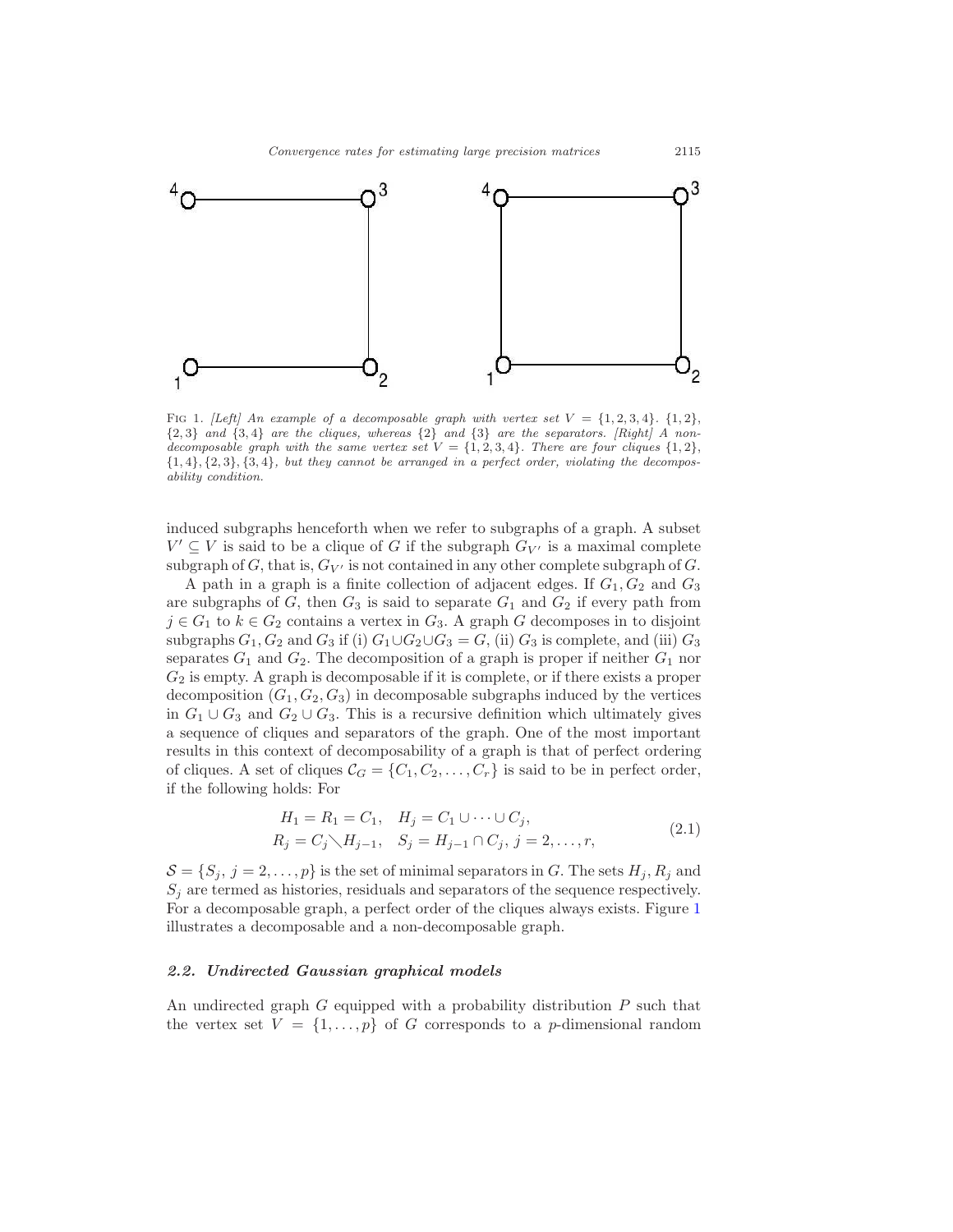

FIG 1. [Left] An example of a decomposable graph with vertex set  $V = \{1, 2, 3, 4\}$ .  $\{1, 2\}$ ,  $\{2,3\}$  and  $\{3,4\}$  are the cliques, whereas  $\{2\}$  and  $\{3\}$  are the separators. [Right] A nondecomposable graph with the same vertex set  $V = \{1, 2, 3, 4\}$ . There are four cliques  $\{1, 2\}$ ,  $\{1,4\}, \{2,3\}, \{3,4\},$  but they cannot be arranged in a perfect order, violating the decomposability condition.

induced subgraphs henceforth when we refer to subgraphs of a graph. A subset  $V' ⊆ V$  is said to be a clique of G if the subgraph  $G_{V'}$  is a maximal complete subgraph of G, that is,  $G_V$  is not contained in any other complete subgraph of G.

A path in a graph is a finite collection of adjacent edges. If  $G_1, G_2$  and  $G_3$ are subgraphs of  $G$ , then  $G_3$  is said to separate  $G_1$  and  $G_2$  if every path from  $j \in G_1$  to  $k \in G_2$  contains a vertex in  $G_3$ . A graph G decomposes in to disjoint subgraphs  $G_1, G_2$  and  $G_3$  if (i)  $G_1 \cup G_2 \cup G_3 = G$ , (ii)  $G_3$  is complete, and (iii)  $G_3$ separates  $G_1$  and  $G_2$ . The decomposition of a graph is proper if neither  $G_1$  nor  $G_2$  is empty. A graph is decomposable if it is complete, or if there exists a proper decomposition  $(G_1, G_2, G_3)$  in decomposable subgraphs induced by the vertices in  $G_1 \cup G_3$  and  $G_2 \cup G_3$ . This is a recursive definition which ultimately gives a sequence of cliques and separators of the graph. One of the most important results in this context of decomposability of a graph is that of perfect ordering of cliques. A set of cliques  $C_G = \{C_1, C_2, \ldots, C_r\}$  is said to be in perfect order, if the following holds: For

$$
H_1 = R_1 = C_1, \quad H_j = C_1 \cup \dots \cup C_j,
$$
  
\n
$$
R_j = C_j \setminus H_{j-1}, \quad S_j = H_{j-1} \cap C_j, \ j = 2, \dots, r,
$$
\n(2.1)

 $\mathcal{S} = \{S_j, j = 2, \ldots, p\}$  is the set of minimal separators in G. The sets  $H_j, R_j$  and  $S_j$  are termed as histories, residuals and separators of the sequence respectively. For a decomposable graph, a perfect order of the cliques always exists. Figure 1 illustrates a decomposable and a non-decomposable graph.

#### 2.2. Undirected Gaussian graphical models

An undirected graph  $G$  equipped with a probability distribution  $P$  such that the vertex set  $V = \{1, \ldots, p\}$  of G corresponds to a p-dimensional random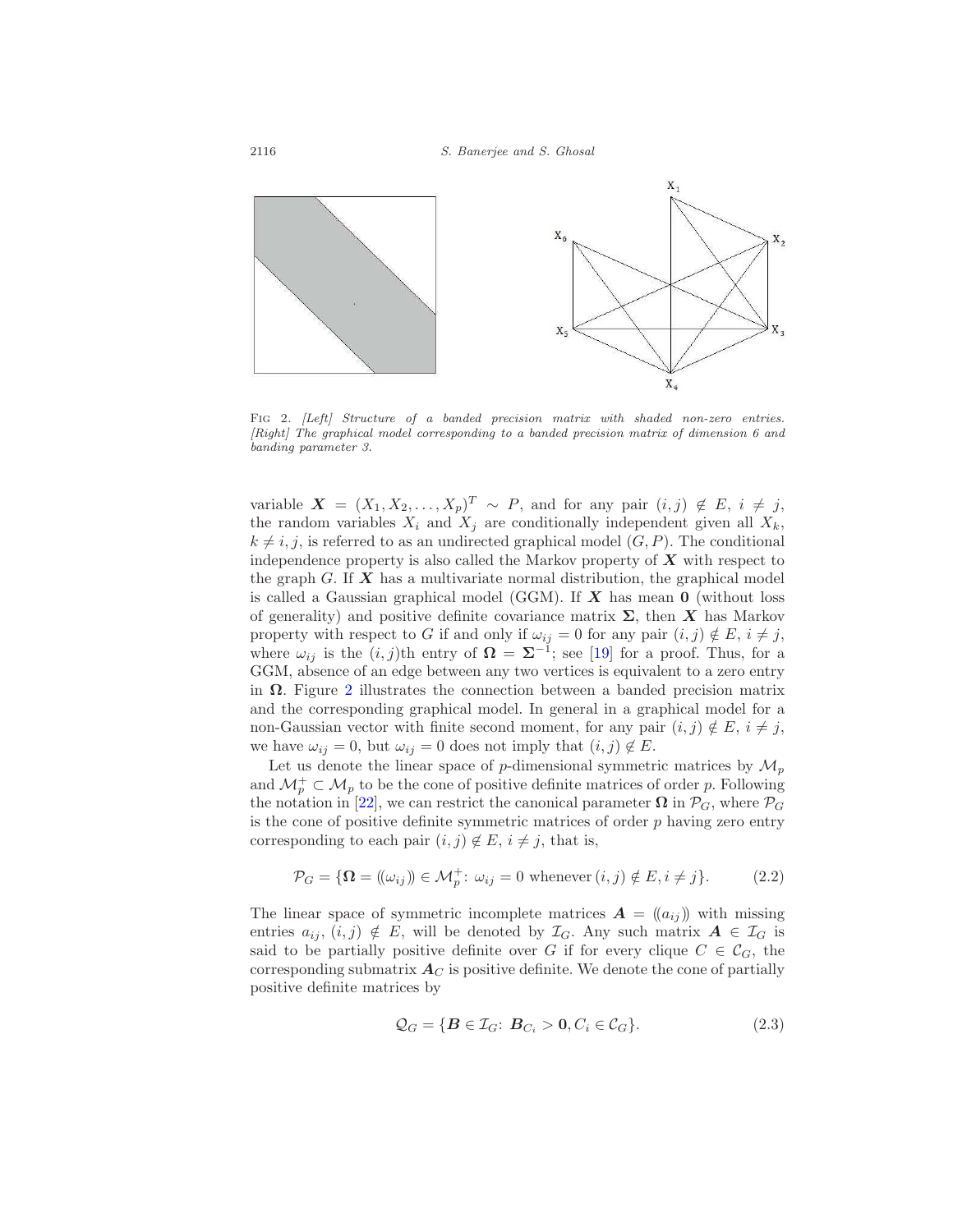

FIG 2. [Left] Structure of a banded precision matrix with shaded non-zero entries. [Right] The graphical model corresponding to a banded precision matrix of dimension 6 and banding parameter 3.

variable  $X = (X_1, X_2, \ldots, X_p)^T \sim P$ , and for any pair  $(i, j) \notin E$ ,  $i \neq j$ , the random variables  $X_i$  and  $X_j$  are conditionally independent given all  $X_k$ ,  $k \neq i, j$ , is referred to as an undirected graphical model  $(G, P)$ . The conditional independence property is also called the Markov property of  $X$  with respect to the graph G. If  $X$  has a multivariate normal distribution, the graphical model is called a Gaussian graphical model (GGM). If  $X$  has mean  $0$  (without loss of generality) and positive definite covariance matrix  $\Sigma$ , then X has Markov property with respect to G if and only if  $\omega_{ij} = 0$  for any pair  $(i, j) \notin E$ ,  $i \neq j$ , where  $\omega_{ij}$  is the  $(i, j)$ th entry of  $\Omega = \Sigma^{-1}$ ; see [19] for a proof. Thus, for a GGM, absence of an edge between any two vertices is equivalent to a zero entry in  $\Omega$ . Figure 2 illustrates the connection between a banded precision matrix and the corresponding graphical model. In general in a graphical model for a non-Gaussian vector with finite second moment, for any pair  $(i, j) \notin E$ ,  $i \neq j$ , we have  $\omega_{ij} = 0$ , but  $\omega_{ij} = 0$  does not imply that  $(i, j) \notin E$ .

Let us denote the linear space of p-dimensional symmetric matrices by  $\mathcal{M}_p$ and  $\mathcal{M}_p^+ \subset \mathcal{M}_p$  to be the cone of positive definite matrices of order p. Following the notation in [22], we can restrict the canonical parameter  $\Omega$  in  $\mathcal{P}_G$ , where  $\mathcal{P}_G$ is the cone of positive definite symmetric matrices of order  $p$  having zero entry corresponding to each pair  $(i, j) \notin E$ ,  $i \neq j$ , that is,

$$
\mathcal{P}_G = \{ \Omega = (\omega_{ij}) \in \mathcal{M}_p^+ : \omega_{ij} = 0 \text{ whenever } (i,j) \notin E, i \neq j \}. \tag{2.2}
$$

The linear space of symmetric incomplete matrices  $\mathbf{A} = (a_{ij})$  with missing entries  $a_{ij}$ ,  $(i, j) \notin E$ , will be denoted by  $\mathcal{I}_G$ . Any such matrix  $A \in \mathcal{I}_G$  is said to be partially positive definite over G if for every clique  $C \in \mathcal{C}_G$ , the corresponding submatrix  $A_C$  is positive definite. We denote the cone of partially positive definite matrices by

$$
\mathcal{Q}_G = \{ \mathbf{B} \in \mathcal{I}_G : \mathbf{B}_{C_i} > \mathbf{0}, C_i \in \mathcal{C}_G \}. \tag{2.3}
$$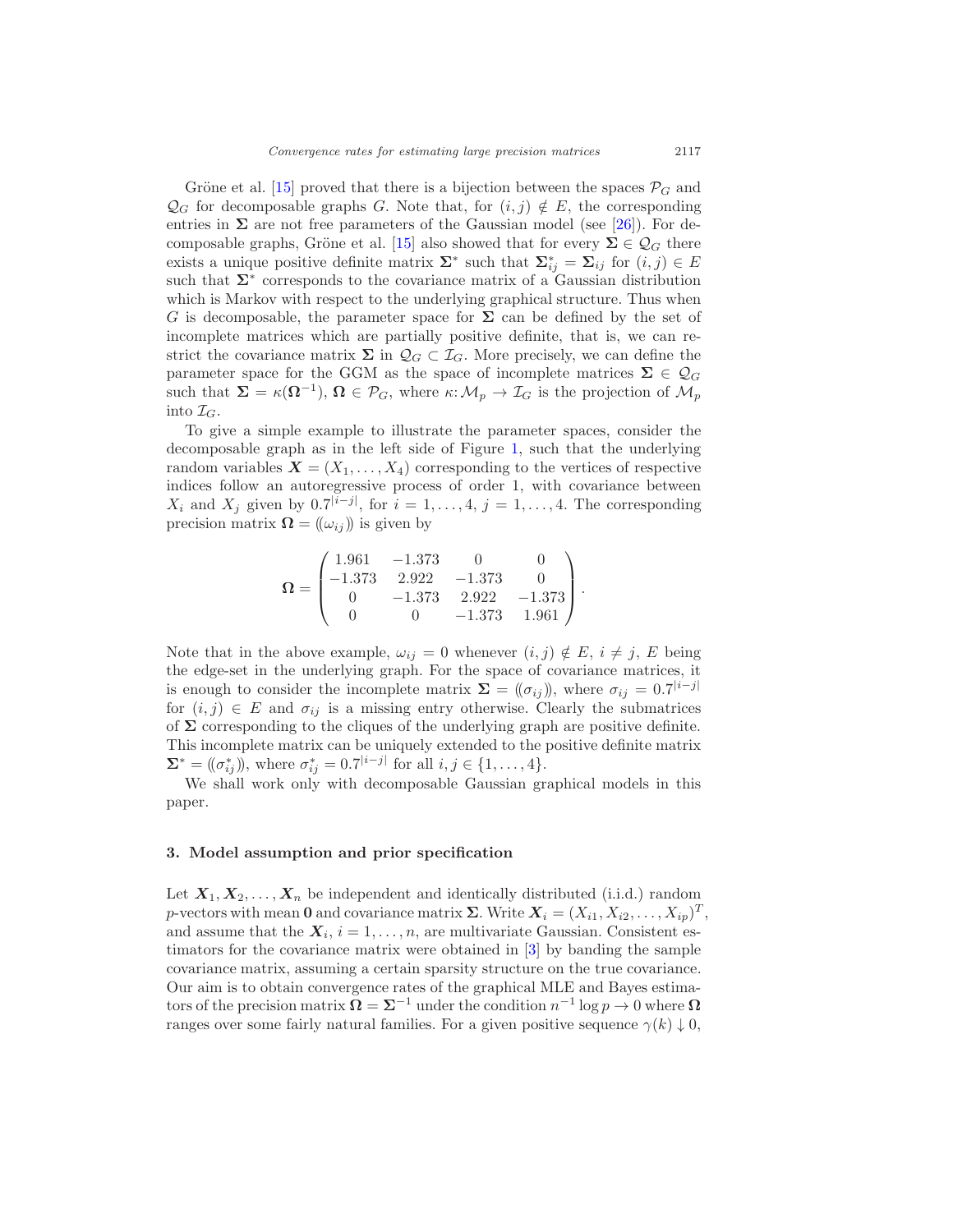Gröne et al. [15] proved that there is a bijection between the spaces  $\mathcal{P}_G$  and  $\mathcal{Q}_G$  for decomposable graphs G. Note that, for  $(i, j) \notin E$ , the corresponding entries in  $\Sigma$  are not free parameters of the Gaussian model (see [26]). For decomposable graphs, Gröne et al. [15] also showed that for every  $\Sigma \in \mathcal{Q}_G$  there exists a unique positive definite matrix  $\Sigma^*$  such that  $\Sigma^*_{ij} = \Sigma_{ij}$  for  $(i, j) \in E$ such that  $\Sigma^*$  corresponds to the covariance matrix of a Gaussian distribution which is Markov with respect to the underlying graphical structure. Thus when G is decomposable, the parameter space for  $\Sigma$  can be defined by the set of incomplete matrices which are partially positive definite, that is, we can restrict the covariance matrix  $\Sigma$  in  $\mathcal{Q}_G \subset \mathcal{I}_G$ . More precisely, we can define the parameter space for the GGM as the space of incomplete matrices  $\Sigma \in \mathcal{Q}_G$ such that  $\Sigma = \kappa(\Omega^{-1}), \Omega \in \mathcal{P}_G$ , where  $\kappa: \mathcal{M}_p \to \mathcal{I}_G$  is the projection of  $\mathcal{M}_p$ into  $\mathcal{I}_G$ .

To give a simple example to illustrate the parameter spaces, consider the decomposable graph as in the left side of Figure 1, such that the underlying random variables  $\mathbf{X} = (X_1, \ldots, X_4)$  corresponding to the vertices of respective indices follow an autoregressive process of order 1, with covariance between  $X_i$  and  $X_j$  given by 0.7<sup>|i−j|</sup>, for  $i = 1, ..., 4$ ,  $j = 1, ..., 4$ . The corresponding precision matrix  $\mathbf{\Omega} = (\omega_{ij})$  is given by

$$
\mathbf{\Omega} = \begin{pmatrix} 1.961 & -1.373 & 0 & 0 \\ -1.373 & 2.922 & -1.373 & 0 \\ 0 & -1.373 & 2.922 & -1.373 \\ 0 & 0 & -1.373 & 1.961 \end{pmatrix}.
$$

Note that in the above example,  $\omega_{ij} = 0$  whenever  $(i, j) \notin E$ ,  $i \neq j$ , E being the edge-set in the underlying graph. For the space of covariance matrices, it is enough to consider the incomplete matrix  $\Sigma = (\!(\sigma_{ij})\!)$ , where  $\sigma_{ij} = 0.7^{|i-j|}$ for  $(i, j) \in E$  and  $\sigma_{ij}$  is a missing entry otherwise. Clearly the submatrices of  $\Sigma$  corresponding to the cliques of the underlying graph are positive definite. This incomplete matrix can be uniquely extended to the positive definite matrix  $\Sigma^* = ((\sigma_{ij}^*)),$  where  $\sigma_{ij}^* = 0.7^{|i-j|}$  for all  $i, j \in \{1, ..., 4\}.$ 

We shall work only with decomposable Gaussian graphical models in this paper.

#### 3. Model assumption and prior specification

Let  $X_1, X_2, \ldots, X_n$  be independent and identically distributed (i.i.d.) random p-vectors with mean 0 and covariance matrix  $\Sigma$ . Write  $X_i = (X_{i1}, X_{i2}, \ldots, X_{ip})^T$ , and assume that the  $X_i$ ,  $i = 1, \ldots, n$ , are multivariate Gaussian. Consistent estimators for the covariance matrix were obtained in [3] by banding the sample covariance matrix, assuming a certain sparsity structure on the true covariance. Our aim is to obtain convergence rates of the graphical MLE and Bayes estimators of the precision matrix  $\Omega = \Sigma^{-1}$  under the condition  $n^{-1} \log p \to 0$  where  $\Omega$ ranges over some fairly natural families. For a given positive sequence  $\gamma(k) \downarrow 0$ ,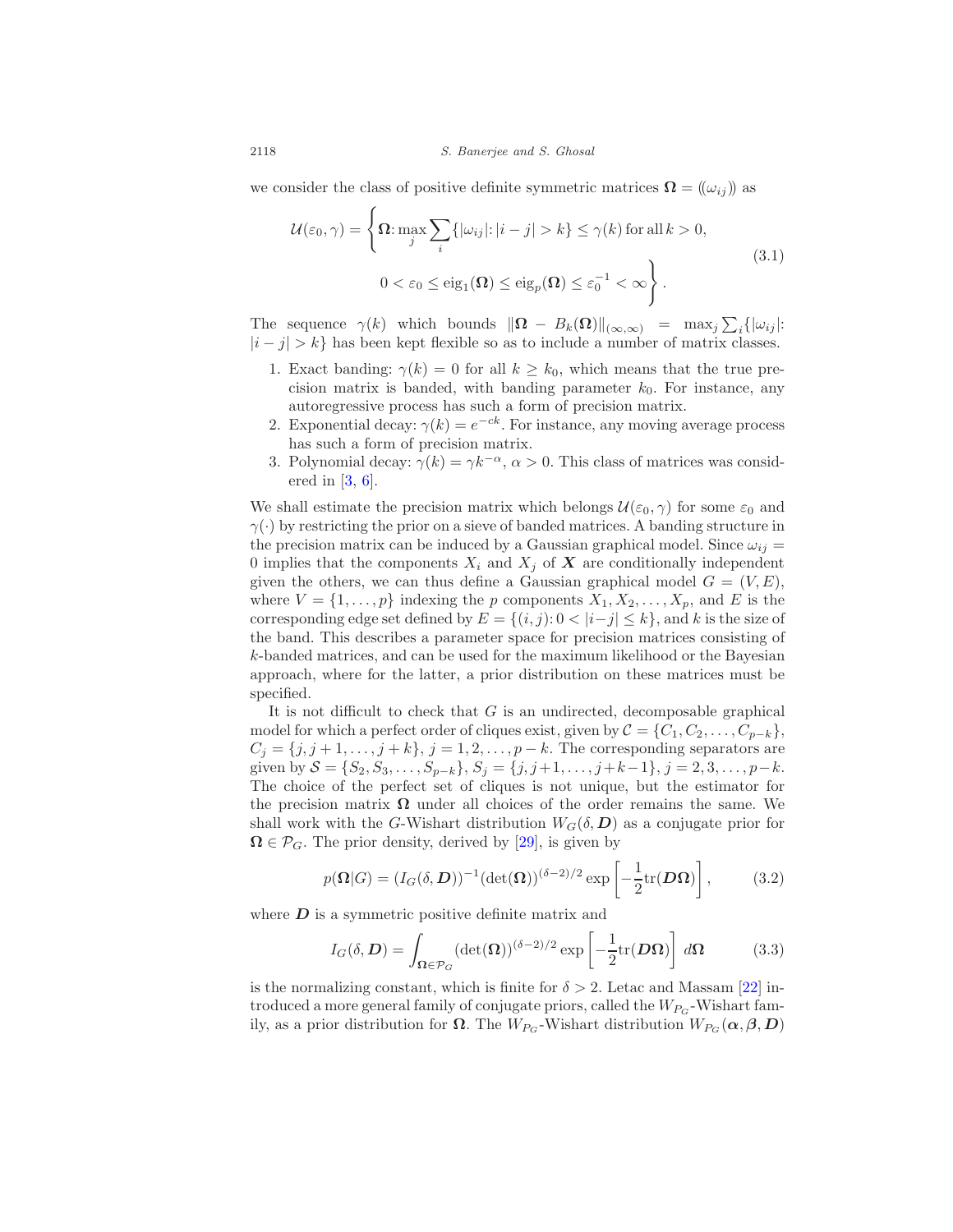we consider the class of positive definite symmetric matrices  $\mathbf{\Omega} = (\omega_{ij})$  as

$$
\mathcal{U}(\varepsilon_0, \gamma) = \left\{ \Omega : \max_{j} \sum_{i} \{ |\omega_{ij}| : |i - j| > k \} \le \gamma(k) \text{ for all } k > 0, \right\}
$$
  

$$
0 < \varepsilon_0 \le \text{eig}_1(\Omega) \le \text{eig}_p(\Omega) \le \varepsilon_0^{-1} < \infty \right\}. \tag{3.1}
$$

The sequence  $\gamma(k)$  which bounds  $\|\mathbf{\Omega} - B_k(\mathbf{\Omega})\|_{(\infty,\infty)} = \max_j \sum_i \{|\omega_{ij}|:$  $|i - j| > k$  has been kept flexible so as to include a number of matrix classes.

- 1. Exact banding:  $\gamma(k) = 0$  for all  $k \geq k_0$ , which means that the true precision matrix is banded, with banding parameter  $k_0$ . For instance, any autoregressive process has such a form of precision matrix.
- 2. Exponential decay:  $\gamma(k) = e^{-ck}$ . For instance, any moving average process has such a form of precision matrix.
- 3. Polynomial decay:  $\gamma(k) = \gamma k^{-\alpha}, \alpha > 0$ . This class of matrices was considered in [3, 6].

We shall estimate the precision matrix which belongs  $\mathcal{U}(\varepsilon_0, \gamma)$  for some  $\varepsilon_0$  and  $\gamma(\cdot)$  by restricting the prior on a sieve of banded matrices. A banding structure in the precision matrix can be induced by a Gaussian graphical model. Since  $\omega_{ij} =$ 0 implies that the components  $X_i$  and  $X_j$  of  $\boldsymbol{X}$  are conditionally independent given the others, we can thus define a Gaussian graphical model  $G = (V, E)$ , where  $V = \{1, \ldots, p\}$  indexing the p components  $X_1, X_2, \ldots, X_p$ , and E is the corresponding edge set defined by  $E = \{(i, j): 0 < |i-j| \leq k\}$ , and k is the size of the band. This describes a parameter space for precision matrices consisting of k-banded matrices, and can be used for the maximum likelihood or the Bayesian approach, where for the latter, a prior distribution on these matrices must be specified.

It is not difficult to check that  $G$  is an undirected, decomposable graphical model for which a perfect order of cliques exist, given by  $\mathcal{C} = \{C_1, C_2, \ldots, C_{p-k}\},\$  $C_j = \{j, j+1, \ldots, j+k\}, j = 1, 2, \ldots, p-k$ . The corresponding separators are given by  $S = \{S_2, S_3, \ldots, S_{p-k}\}, S_j = \{j, j+1, \ldots, j+k-1\}, j = 2, 3, \ldots, p-k.$ The choice of the perfect set of cliques is not unique, but the estimator for the precision matrix  $\Omega$  under all choices of the order remains the same. We shall work with the G-Wishart distribution  $W_G(\delta, D)$  as a conjugate prior for  $\Omega \in \mathcal{P}_G$ . The prior density, derived by [29], is given by

$$
p(\mathbf{\Omega}|G) = (I_G(\delta, \mathbf{D}))^{-1} (\det(\mathbf{\Omega}))^{(\delta - 2)/2} \exp\left[-\frac{1}{2} \text{tr}(\mathbf{D}\mathbf{\Omega})\right],\tag{3.2}
$$

where  $D$  is a symmetric positive definite matrix and

$$
I_G(\delta, \mathbf{D}) = \int_{\Omega \in \mathcal{P}_G} (\det(\Omega))^{(\delta - 2)/2} \exp\left[ -\frac{1}{2} \text{tr}(\mathbf{D}\Omega) \right] d\Omega \tag{3.3}
$$

is the normalizing constant, which is finite for  $\delta > 2$ . Letac and Massam [22] introduced a more general family of conjugate priors, called the  $W_{P_G}$ -Wishart family, as a prior distribution for  $\Omega$ . The W<sub>PG</sub>-Wishart distribution  $W_{P_G}(\alpha, \beta, D)$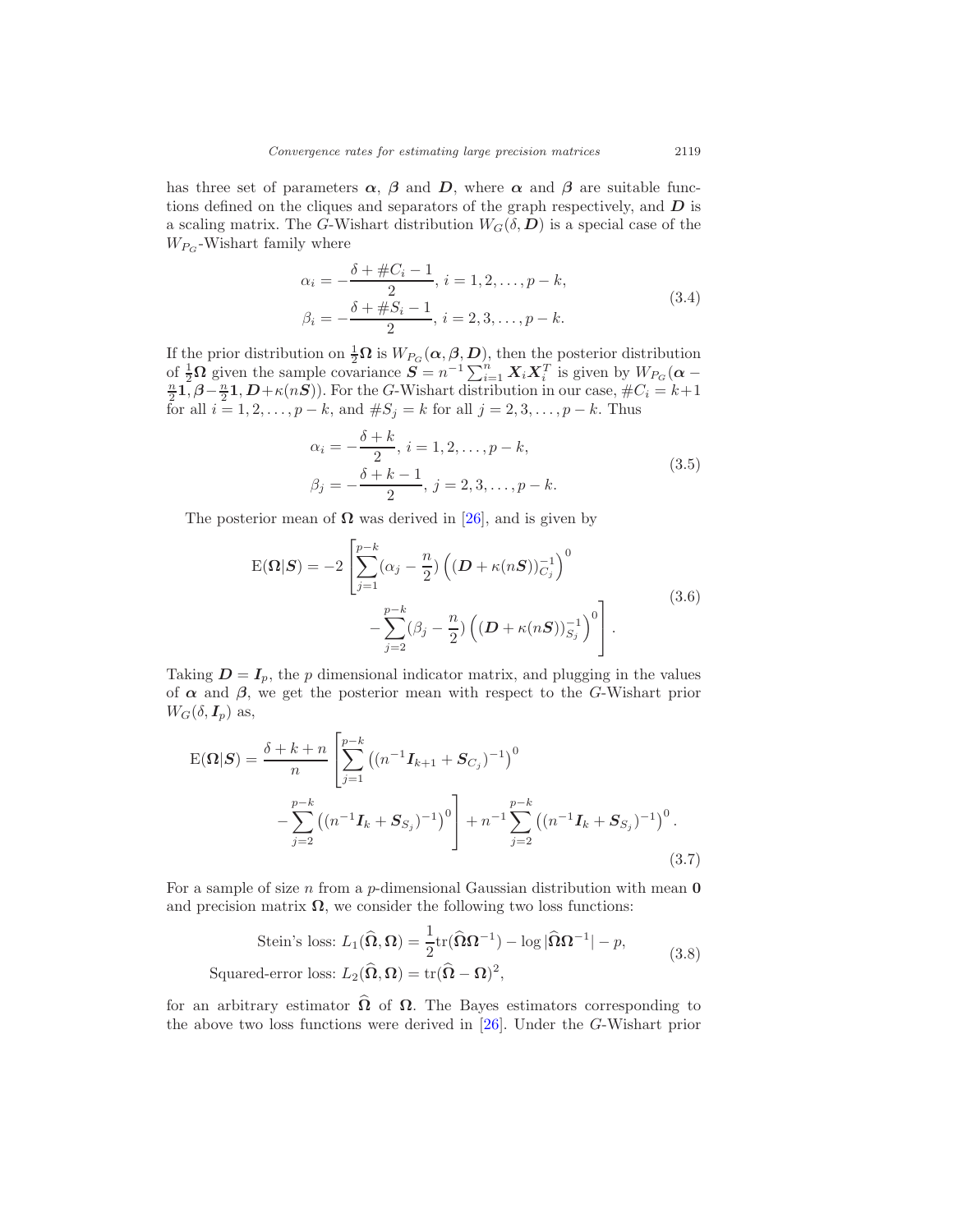has three set of parameters  $\alpha$ ,  $\beta$  and  $D$ , where  $\alpha$  and  $\beta$  are suitable functions defined on the cliques and separators of the graph respectively, and  $D$  is a scaling matrix. The G-Wishart distribution  $W_G(\delta, D)$  is a special case of the  $W_{P_G}$ -Wishart family where

$$
\alpha_i = -\frac{\delta + \#C_i - 1}{2}, \, i = 1, 2, \dots, p - k, \n\beta_i = -\frac{\delta + \#S_i - 1}{2}, \, i = 2, 3, \dots, p - k.
$$
\n(3.4)

If the prior distribution on  $\frac{1}{2}\Omega$  is  $W_{P_G}(\alpha, \beta, D)$ , then the posterior distribution of  $\frac{1}{2}\Omega$  given the sample covariance  $\mathbf{S} = n^{-1} \sum_{i=1}^{n} \mathbf{X}_i \mathbf{X}_i^T$  is given by  $W_{P_G}(\boldsymbol{\alpha} - \frac{n}{2}\mathbf{1}, \boldsymbol{\beta} - \frac{n}{2}\mathbf{1}, \boldsymbol{D} + \kappa(n\mathbf{S}))$ . For the *G*-Wishart distribution in our case,  $\#C_i = k+1$ for all  $i = 1, 2, ..., p - k$ , and  $\#S_j = k$  for all  $j = 2, 3, ..., p - k$ . Thus

$$
\alpha_i = -\frac{\delta + k}{2}, \, i = 1, 2, \dots, p - k, \n\beta_j = -\frac{\delta + k - 1}{2}, \, j = 2, 3, \dots, p - k.
$$
\n(3.5)

The posterior mean of  $\Omega$  was derived in [26], and is given by

$$
E(\mathbf{\Omega}|\mathbf{S}) = -2 \left[ \sum_{j=1}^{p-k} (\alpha_j - \frac{n}{2}) \left( (\mathbf{D} + \kappa(n\mathbf{S}))_{C_j}^{-1} \right)^0 - \sum_{j=2}^{p-k} (\beta_j - \frac{n}{2}) \left( (\mathbf{D} + \kappa(n\mathbf{S}))_{S_j}^{-1} \right)^0 \right].
$$
\n(3.6)

Taking  $D = I_p$ , the p dimensional indicator matrix, and plugging in the values of  $\alpha$  and  $\beta$ , we get the posterior mean with respect to the G-Wishart prior  $W_G(\delta, I_p)$  as,

$$
E(\mathbf{\Omega}|\mathbf{S}) = \frac{\delta + k + n}{n} \left[ \sum_{j=1}^{p-k} \left( (n^{-1} \mathbf{I}_{k+1} + \mathbf{S}_{C_j})^{-1} \right)^0 - \sum_{j=2}^{p-k} \left( (n^{-1} \mathbf{I}_k + \mathbf{S}_{S_j})^{-1} \right)^0 \right] + n^{-1} \sum_{j=2}^{p-k} \left( (n^{-1} \mathbf{I}_k + \mathbf{S}_{S_j})^{-1} \right)^0.
$$
\n(3.7)

For a sample of size  $n$  from a  $p$ -dimensional Gaussian distribution with mean  $\mathbf 0$ and precision matrix  $\Omega$ , we consider the following two loss functions:

Stein's loss: 
$$
L_1(\hat{\Omega}, \Omega) = \frac{1}{2} \text{tr}(\hat{\Omega} \Omega^{-1}) - \log |\hat{\Omega} \Omega^{-1}| - p
$$
,  
Squared-error loss:  $L_2(\hat{\Omega}, \Omega) = \text{tr}(\hat{\Omega} - \Omega)^2$ , (3.8)

for an arbitrary estimator  $\hat{\Omega}$  of  $\Omega$ . The Bayes estimators corresponding to the above two loss functions were derived in [26]. Under the G-Wishart prior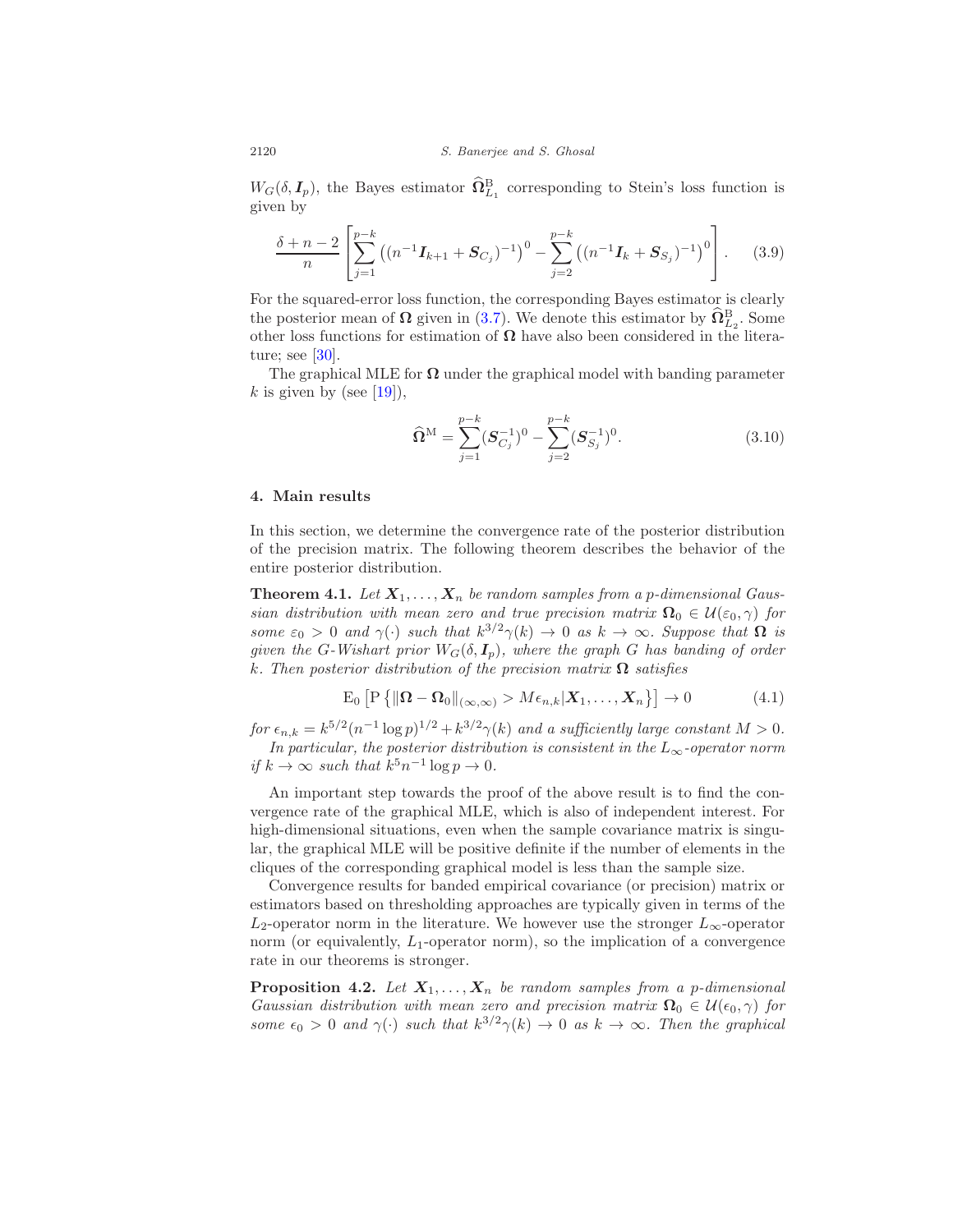$W_G(\delta, I_p)$ , the Bayes estimator  $\widehat{\Omega}^B_{L_1}$  corresponding to Stein's loss function is given by

$$
\frac{\delta + n - 2}{n} \left[ \sum_{j=1}^{p-k} \left( (n^{-1} \mathbf{I}_{k+1} + \mathbf{S}_{C_j})^{-1} \right)^0 - \sum_{j=2}^{p-k} \left( (n^{-1} \mathbf{I}_k + \mathbf{S}_{S_j})^{-1} \right)^0 \right].
$$
 (3.9)

For the squared-error loss function, the corresponding Bayes estimator is clearly the posterior mean of  $\Omega$  given in (3.7). We denote this estimator by  $\widehat{\Omega}_{L_2}^{\text{B}}$ . Some other loss functions for estimation of  $\Omega$  have also been considered in the literature; see [30].

The graphical MLE for  $\Omega$  under the graphical model with banding parameter k is given by (see [19]),

$$
\widehat{\Omega}^{\mathcal{M}} = \sum_{j=1}^{p-k} (\mathcal{S}_{C_j}^{-1})^0 - \sum_{j=2}^{p-k} (\mathcal{S}_{S_j}^{-1})^0.
$$
\n(3.10)

## 4. Main results

In this section, we determine the convergence rate of the posterior distribution of the precision matrix. The following theorem describes the behavior of the entire posterior distribution.

**Theorem 4.1.** Let  $X_1, \ldots, X_n$  be random samples from a p-dimensional Gaussian distribution with mean zero and true precision matrix  $\mathbf{\Omega}_0 \in \mathcal{U}(\varepsilon_0, \gamma)$  for some  $\varepsilon_0 > 0$  and  $\gamma(\cdot)$  such that  $k^{3/2}\gamma(k) \to 0$  as  $k \to \infty$ . Suppose that  $\Omega$  is given the G-Wishart prior  $W_G(\delta, I_p)$ , where the graph G has banding of order k. Then posterior distribution of the precision matrix  $\Omega$  satisfies

$$
E_0 \left[ P \left\{ \|\mathbf{\Omega} - \mathbf{\Omega}_0\|_{(\infty,\infty)} > M \epsilon_{n,k} | \mathbf{X}_1, \dots, \mathbf{X}_n \right\} \right] \to 0 \tag{4.1}
$$

for  $\epsilon_{n,k} = k^{5/2} (n^{-1} \log p)^{1/2} + k^{3/2} \gamma(k)$  and a sufficiently large constant  $M > 0$ . In particular, the posterior distribution is consistent in the  $L_{\infty}$ -operator norm

if  $k \to \infty$  such that  $k^5 n^{-1} \log p \to 0$ .

An important step towards the proof of the above result is to find the convergence rate of the graphical MLE, which is also of independent interest. For high-dimensional situations, even when the sample covariance matrix is singular, the graphical MLE will be positive definite if the number of elements in the cliques of the corresponding graphical model is less than the sample size.

Convergence results for banded empirical covariance (or precision) matrix or estimators based on thresholding approaches are typically given in terms of the  $L_2$ -operator norm in the literature. We however use the stronger  $L_{\infty}$ -operator norm (or equivalently,  $L_1$ -operator norm), so the implication of a convergence rate in our theorems is stronger.

**Proposition 4.2.** Let  $X_1, \ldots, X_n$  be random samples from a p-dimensional Gaussian distribution with mean zero and precision matrix  $\Omega_0 \in \mathcal{U}(\epsilon_0, \gamma)$  for some  $\epsilon_0 > 0$  and  $\gamma(\cdot)$  such that  $k^{3/2}\gamma(k) \to 0$  as  $k \to \infty$ . Then the graphical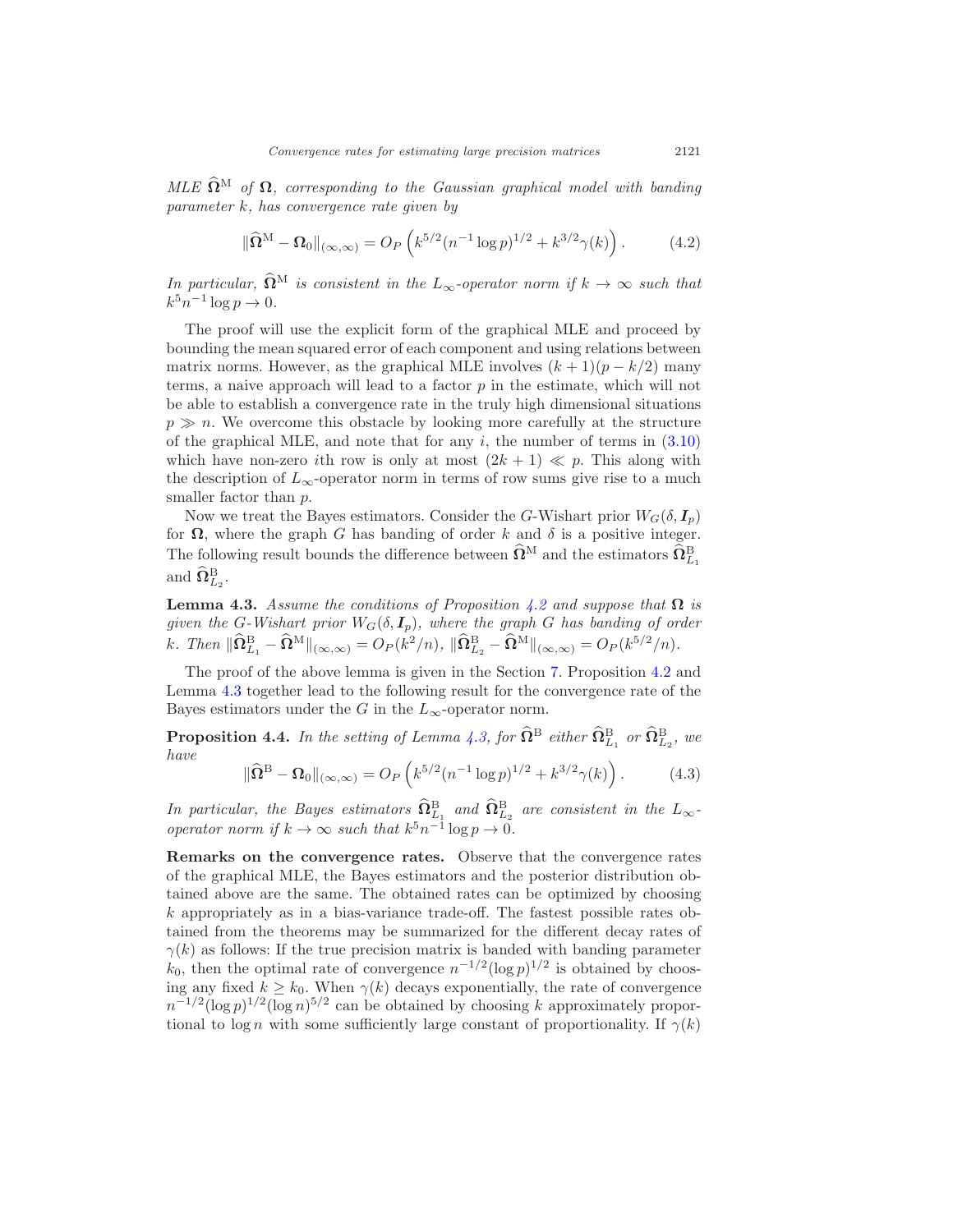MLE  $\widehat{\Omega}^M$  of  $\Omega$ , corresponding to the Gaussian graphical model with banding parameter k, has convergence rate given by

$$
\|\widehat{\Omega}^{\mathcal{M}} - \Omega_0\|_{(\infty,\infty)} = O_P\left(k^{5/2} (n^{-1} \log p)^{1/2} + k^{3/2} \gamma(k)\right). \tag{4.2}
$$

In particular,  $\widehat{\Omega}^M$  is consistent in the  $L_{\infty}$ -operator norm if  $k \to \infty$  such that  $k^5 n^{-1} \log p \to 0.$ 

The proof will use the explicit form of the graphical MLE and proceed by bounding the mean squared error of each component and using relations between matrix norms. However, as the graphical MLE involves  $(k + 1)(p - k/2)$  many terms, a naive approach will lead to a factor  $p$  in the estimate, which will not be able to establish a convergence rate in the truly high dimensional situations  $p \gg n$ . We overcome this obstacle by looking more carefully at the structure of the graphical MLE, and note that for any  $i$ , the number of terms in  $(3.10)$ which have non-zero ith row is only at most  $(2k + 1) \ll p$ . This along with the description of  $L_{\infty}$ -operator norm in terms of row sums give rise to a much smaller factor than  $p$ .

Now we treat the Bayes estimators. Consider the G-Wishart prior  $W_G(\delta, I_n)$ for  $\Omega$ , where the graph G has banding of order k and  $\delta$  is a positive integer. The following result bounds the difference between  $\widehat{\Omega}^{\text{M}}$  and the estimators  $\widehat{\Omega}^{\text{B}}_{L_1}$ and  $\widehat{\Omega}^{\text{B}}_{L_2}$ .

**Lemma 4.3.** Assume the conditions of Proposition 4.2 and suppose that  $\Omega$  is given the G-Wishart prior  $W_G(\delta, I_p)$ , where the graph G has banding of order k. Then  $\|\widehat{\Omega}^{\mathcal{B}}_{L_1} - \widehat{\Omega}^{\mathcal{M}}\|_{(\infty,\infty)} = O_P(k^2/n), \|\widehat{\Omega}^{\mathcal{B}}_{L_2} - \widehat{\Omega}^{\mathcal{M}}\|_{(\infty,\infty)} = O_P(k^{5/2}/n).$ 

The proof of the above lemma is given in the Section 7. Proposition 4.2 and Lemma 4.3 together lead to the following result for the convergence rate of the Bayes estimators under the G in the  $L_{\infty}$ -operator norm.

**Proposition 4.4.** In the setting of Lemma 4.3, for  $\widehat{\Omega}^{\text{B}}$  either  $\widehat{\Omega}^{\text{B}}_{L_1}$  or  $\widehat{\Omega}^{\text{B}}_{L_2}$ , we have

$$
\|\widehat{\Omega}^{B} - \Omega_{0}\|_{(\infty,\infty)} = O_{P}\left(k^{5/2}(n^{-1}\log p)^{1/2} + k^{3/2}\gamma(k)\right).
$$
 (4.3)

In particular, the Bayes estimators  $\widehat{\Omega}^{\text{B}}_{L_1}$  and  $\widehat{\Omega}^{\text{B}}_{L_2}$  are consistent in the  $L_{\infty}$ operator norm if  $k \to \infty$  such that  $k^5 n^{-1} \log p \to 0$ .

Remarks on the convergence rates. Observe that the convergence rates of the graphical MLE, the Bayes estimators and the posterior distribution obtained above are the same. The obtained rates can be optimized by choosing k appropriately as in a bias-variance trade-off. The fastest possible rates obtained from the theorems may be summarized for the different decay rates of  $\gamma(k)$  as follows: If the true precision matrix is banded with banding parameter  $k_0$ , then the optimal rate of convergence  $n^{-1/2}(\log p)^{1/2}$  is obtained by choosing any fixed  $k \geq k_0$ . When  $\gamma(k)$  decays exponentially, the rate of convergence  $n^{-1/2}(\log p)^{1/2}(\log n)^{5/2}$  can be obtained by choosing k approximately proportional to log n with some sufficiently large constant of proportionality. If  $\gamma(k)$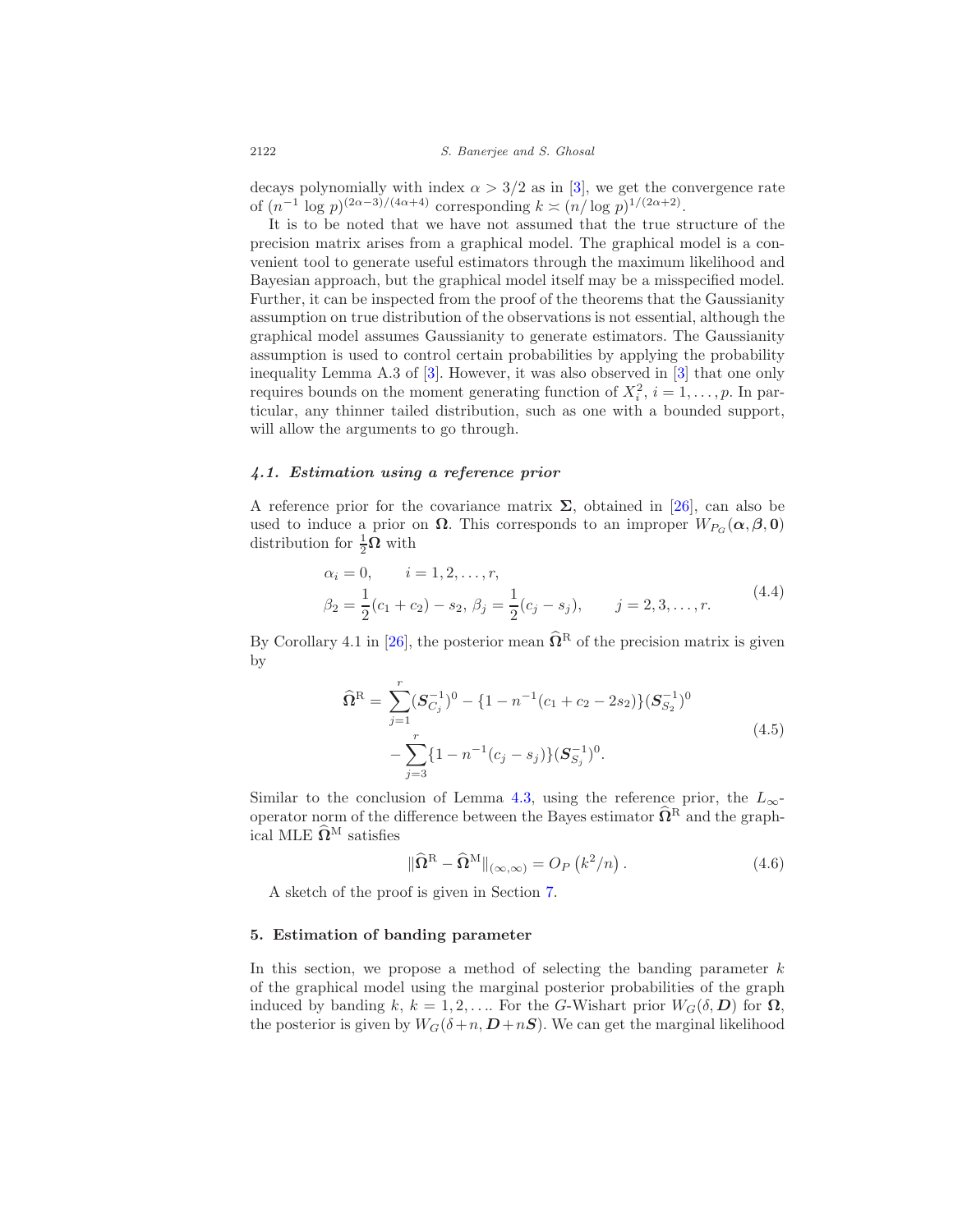decays polynomially with index  $\alpha > 3/2$  as in [3], we get the convergence rate of  $(n^{-1} \log p)^{(2\alpha - 3)/(4\alpha + 4)}$  corresponding  $k \asymp (n/\log p)^{1/(2\alpha + 2)}$ .

It is to be noted that we have not assumed that the true structure of the precision matrix arises from a graphical model. The graphical model is a convenient tool to generate useful estimators through the maximum likelihood and Bayesian approach, but the graphical model itself may be a misspecified model. Further, it can be inspected from the proof of the theorems that the Gaussianity assumption on true distribution of the observations is not essential, although the graphical model assumes Gaussianity to generate estimators. The Gaussianity assumption is used to control certain probabilities by applying the probability inequality Lemma A.3 of [3]. However, it was also observed in [3] that one only requires bounds on the moment generating function of  $X_i^2$ ,  $i = 1, \ldots, p$ . In particular, any thinner tailed distribution, such as one with a bounded support, will allow the arguments to go through.

# 4.1. Estimation using a reference prior

A reference prior for the covariance matrix  $\Sigma$ , obtained in [26], can also be used to induce a prior on  $\Omega$ . This corresponds to an improper  $W_{P_G}(\alpha, \beta, 0)$ distribution for  $\frac{1}{2}\Omega$  with

$$
\alpha_i = 0, \qquad i = 1, 2, \dots, r,
$$
  
\n
$$
\beta_2 = \frac{1}{2}(c_1 + c_2) - s_2, \ \beta_j = \frac{1}{2}(c_j - s_j), \qquad j = 2, 3, \dots, r.
$$
\n(4.4)

By Corollary 4.1 in [26], the posterior mean  $\widehat{\Omega}^R$  of the precision matrix is given by

$$
\widehat{\Omega}^{\mathcal{R}} = \sum_{j=1}^{r} (\mathcal{S}_{C_j}^{-1})^0 - \{1 - n^{-1}(c_1 + c_2 - 2s_2)\} (\mathcal{S}_{S_2}^{-1})^0
$$
  
 
$$
- \sum_{j=3}^{r} \{1 - n^{-1}(c_j - s_j)\} (\mathcal{S}_{S_j}^{-1})^0.
$$
\n(4.5)

Similar to the conclusion of Lemma 4.3, using the reference prior, the  $L_{\infty}$ operator norm of the difference between the Bayes estimator  $\widehat{\Omega}^R$  and the graphical MLE  $\widehat{\mathbf{\Omega}}^{\text{M}}$  satisfies

$$
\|\widehat{\Omega}^{\mathcal{R}} - \widehat{\Omega}^{\mathcal{M}}\|_{(\infty,\infty)} = O_P\left(k^2/n\right). \tag{4.6}
$$

A sketch of the proof is given in Section 7.

#### 5. Estimation of banding parameter

In this section, we propose a method of selecting the banding parameter  $k$ of the graphical model using the marginal posterior probabilities of the graph induced by banding k,  $k = 1, 2, \ldots$  For the G-Wishart prior  $W_G(\delta, D)$  for  $\Omega$ , the posterior is given by  $W_G(\delta+n, D+nS)$ . We can get the marginal likelihood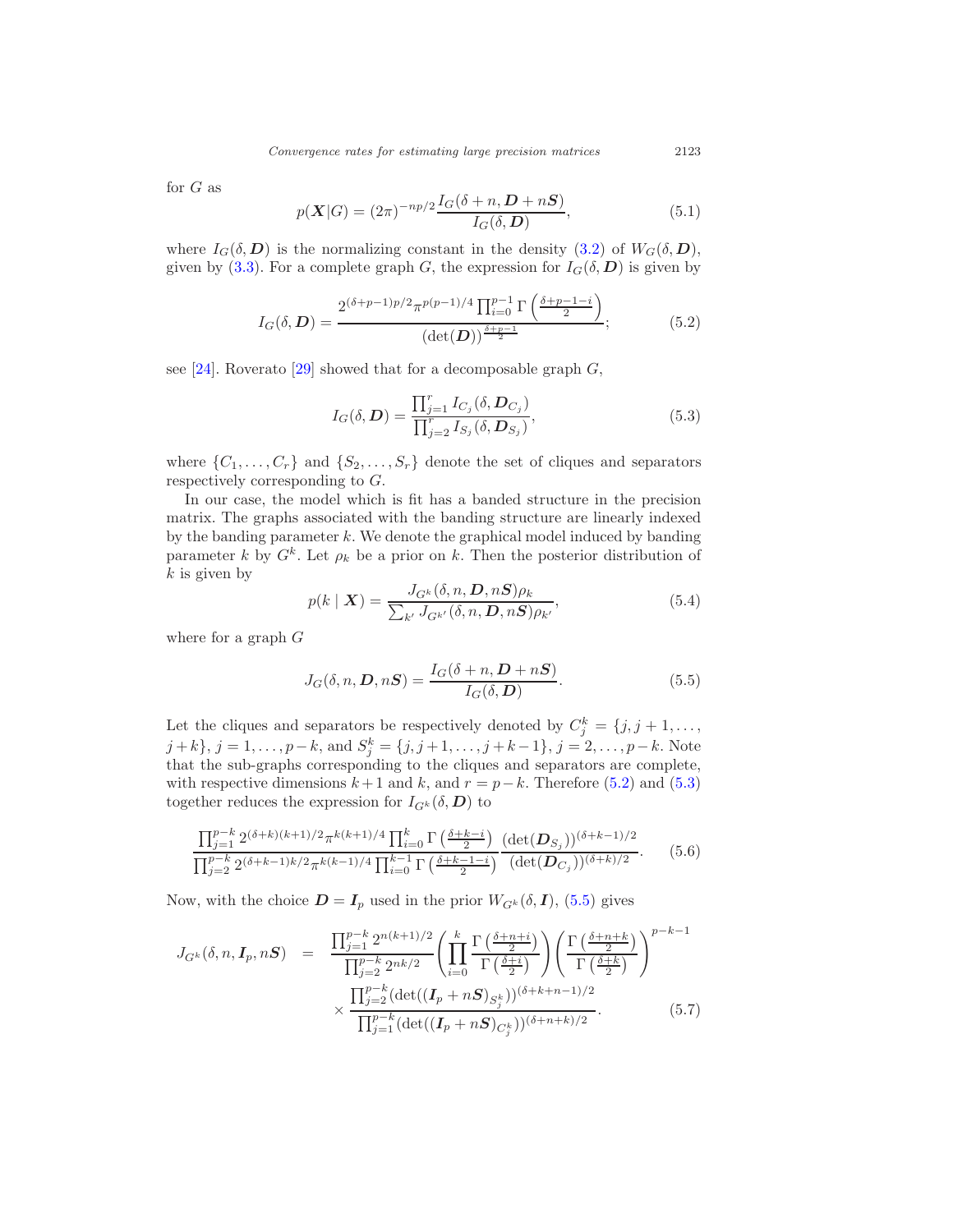for  $G$  as

$$
p(\mathbf{X}|G) = (2\pi)^{-np/2} \frac{I_G(\delta + n, \mathbf{D} + n\mathbf{S})}{I_G(\delta, \mathbf{D})},\tag{5.1}
$$

where  $I_G(\delta, D)$  is the normalizing constant in the density (3.2) of  $W_G(\delta, D)$ , given by (3.3). For a complete graph G, the expression for  $I_G(\delta, D)$  is given by

$$
I_G(\delta, \mathbf{D}) = \frac{2^{(\delta + p - 1)p/2} \pi^{p(p-1)/4} \prod_{i=0}^{p-1} \Gamma\left(\frac{\delta + p - 1 - i}{2}\right)}{(\det(\mathbf{D}))^{\frac{\delta + p - 1}{2}}};
$$
(5.2)

see [24]. Roverato [29] showed that for a decomposable graph  $G$ ,

$$
I_G(\delta, \mathbf{D}) = \frac{\prod_{j=1}^r I_{C_j}(\delta, \mathbf{D}_{C_j})}{\prod_{j=2}^r I_{S_j}(\delta, \mathbf{D}_{S_j})},
$$
\n(5.3)

where  $\{C_1, \ldots, C_r\}$  and  $\{S_2, \ldots, S_r\}$  denote the set of cliques and separators respectively corresponding to G.

In our case, the model which is fit has a banded structure in the precision matrix. The graphs associated with the banding structure are linearly indexed by the banding parameter  $k$ . We denote the graphical model induced by banding parameter k by  $G^k$ . Let  $\rho_k$  be a prior on k. Then the posterior distribution of  $k$  is given by

$$
p(k \mid \boldsymbol{X}) = \frac{J_{G^k}(\delta, n, \boldsymbol{D}, n\boldsymbol{S})\rho_k}{\sum_{k'} J_{G^{k'}}(\delta, n, \boldsymbol{D}, n\boldsymbol{S})\rho_{k'}},
$$
(5.4)

where for a graph  $G$ 

$$
J_G(\delta, n, \mathbf{D}, n\mathbf{S}) = \frac{I_G(\delta + n, \mathbf{D} + n\mathbf{S})}{I_G(\delta, \mathbf{D})}.
$$
\n(5.5)

Let the cliques and separators be respectively denoted by  $C_j^k = \{j, j + 1, \ldots, \}$  $j + k$ ,  $j = 1, ..., p-k$ , and  $S_j^k = \{j, j + 1, ..., j + k - 1\}$ ,  $j = 2, ..., p-k$ . Note that the sub-graphs corresponding to the cliques and separators are complete, with respective dimensions  $k+1$  and  $k$ , and  $r = p-k$ . Therefore (5.2) and (5.3) together reduces the expression for  $I_{G^k}(\delta, D)$  to

$$
\frac{\prod_{j=1}^{p-k} 2^{(\delta+k)(k+1)/2} \pi^{k(k+1)/4} \prod_{i=0}^k \Gamma\left(\frac{\delta+k-i}{2}\right)}{\prod_{j=2}^{p-k} 2^{(\delta+k-1)k/2} \pi^{k(k-1)/4} \prod_{i=0}^{k-1} \Gamma\left(\frac{\delta+k-1-i}{2}\right)} \frac{(\det(D_{S_j}))^{(\delta+k-1)/2}}{(\det(D_{C_j}))^{(\delta+k)/2}}.
$$
(5.6)

Now, with the choice  $\mathbf{D} = \mathbf{I}_p$  used in the prior  $W_{G^k}(\delta, \mathbf{I})$ , (5.5) gives

$$
J_{G^{k}}(\delta, n, \mathbf{I}_{p}, nS) = \frac{\prod_{j=1}^{p-k} 2^{n(k+1)/2} \left( \prod_{i=0}^{k} \frac{\Gamma\left(\frac{\delta+n+i}{2}\right)}{\Gamma\left(\frac{\delta+i}{2}\right)} \right) \left( \frac{\Gamma\left(\frac{\delta+n+k}{2}\right)}{\Gamma\left(\frac{\delta+k}{2}\right)} \right)^{p-k-1}}{\prod_{j=2}^{p-k} (det((\mathbf{I}_{p} + nS)_{S_{j}^{k}}))^{(\delta+k+n-1)/2}} \times \frac{\prod_{j=1}^{p-k} (det((\mathbf{I}_{p} + nS)_{C_{j}^{k}}))^{(\delta+n+k)/2}}{\prod_{j=1}^{p-k} (det((\mathbf{I}_{p} + nS)_{C_{j}^{k}}))^{(\delta+n+k)/2}}.
$$
(5.7)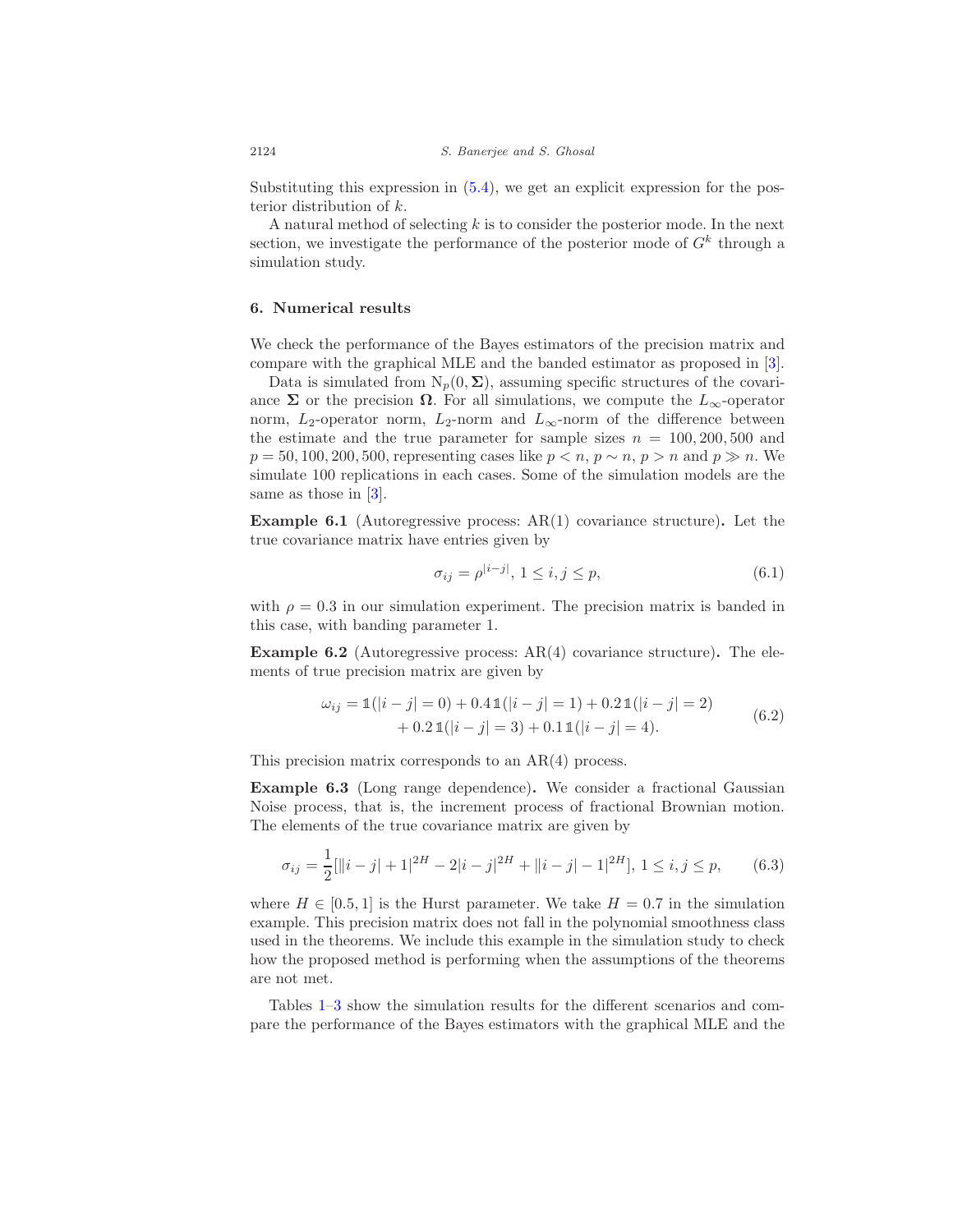Substituting this expression in  $(5.4)$ , we get an explicit expression for the posterior distribution of k.

A natural method of selecting k is to consider the posterior mode. In the next section, we investigate the performance of the posterior mode of  $G^k$  through a simulation study.

# 6. Numerical results

We check the performance of the Bayes estimators of the precision matrix and compare with the graphical MLE and the banded estimator as proposed in [3].

Data is simulated from  $N_p(0, \Sigma)$ , assuming specific structures of the covariance  $\Sigma$  or the precision  $\Omega$ . For all simulations, we compute the  $L_{\infty}$ -operator norm,  $L_2$ -operator norm,  $L_2$ -norm and  $L_{\infty}$ -norm of the difference between the estimate and the true parameter for sample sizes  $n = 100, 200, 500$  and  $p = 50, 100, 200, 500$ , representing cases like  $p < n$ ,  $p \sim n$ ,  $p > n$  and  $p \gg n$ . We simulate 100 replications in each cases. Some of the simulation models are the same as those in [3].

**Example 6.1** (Autoregressive process:  $AR(1)$  covariance structure). Let the true covariance matrix have entries given by

$$
\sigma_{ij} = \rho^{|i-j|}, \ 1 \le i, j \le p,\tag{6.1}
$$

with  $\rho = 0.3$  in our simulation experiment. The precision matrix is banded in this case, with banding parameter 1.

**Example 6.2** (Autoregressive process:  $AR(4)$  covariance structure). The elements of true precision matrix are given by

$$
\omega_{ij} = \mathbb{1}(|i - j| = 0) + 0.4 \mathbb{1}(|i - j| = 1) + 0.2 \mathbb{1}(|i - j| = 2) + 0.2 \mathbb{1}(|i - j| = 3) + 0.1 \mathbb{1}(|i - j| = 4).
$$
 (6.2)

This precision matrix corresponds to an  $AR(4)$  process.

Example 6.3 (Long range dependence). We consider a fractional Gaussian Noise process, that is, the increment process of fractional Brownian motion. The elements of the true covariance matrix are given by

$$
\sigma_{ij} = \frac{1}{2}[\|i-j|+1|^{2H} - 2|i-j|^{2H} + \|i-j| - 1|^{2H}], \ 1 \le i, j \le p,
$$
\n(6.3)

where  $H \in [0.5, 1]$  is the Hurst parameter. We take  $H = 0.7$  in the simulation example. This precision matrix does not fall in the polynomial smoothness class used in the theorems. We include this example in the simulation study to check how the proposed method is performing when the assumptions of the theorems are not met.

Tables 1–3 show the simulation results for the different scenarios and compare the performance of the Bayes estimators with the graphical MLE and the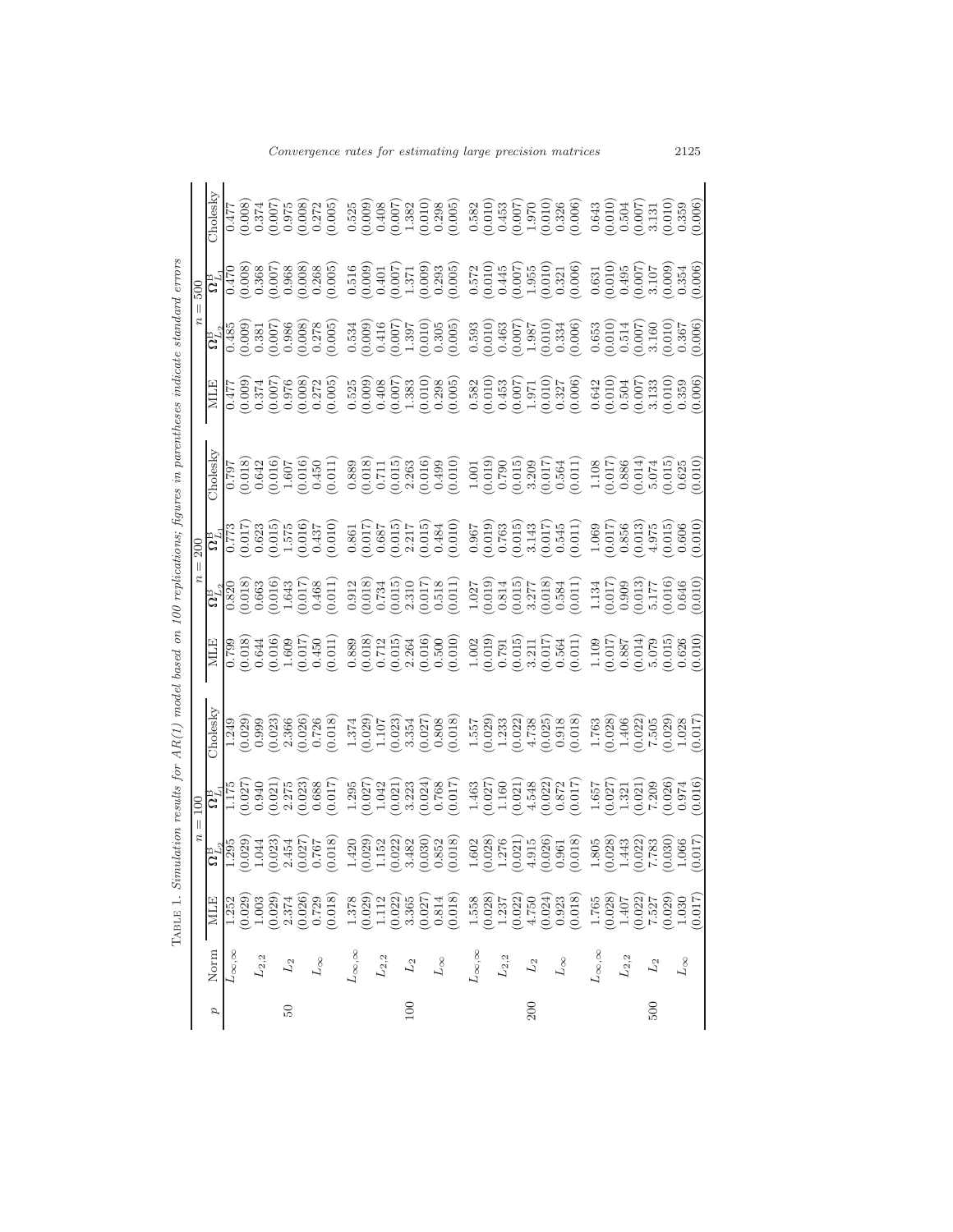| Norm                | <b>NILE</b> | $\begin{array}{r} \hline \mathbf{G}^{\mathrm{B}}_{L_{2}} \\ \hline 1.295 \\ (0.029) \\ (0.044) \\ (0.044) \\ (0.027) \\ (0.027) \\ (0.018) \\ (0.018) \\ \hline \end{array}$                                                                                                                            |                                                                                                                                                                                                                                                                                             | holesky                                                                                                                                                                                                                                                                                                 | L Io 2009 - 10 2009 - 10 2009 - 10 2009 - 10 2009 - 10 2009 - 10 2009 - 10 2009 - 10 2009 - 10 2009 - 10 2009 -<br>  10 2009 - 10 2009 - 10 2009 - 10 2009 - 10 2009 - 10 2009 - 10 2009 - 10 2009 - 10 2009 - 10 2009 - 10 2009<br> |  |  |                                                                                                                                                                                                                                                                                                                                                                                                                                      |
|---------------------|-------------|---------------------------------------------------------------------------------------------------------------------------------------------------------------------------------------------------------------------------------------------------------------------------------------------------------|---------------------------------------------------------------------------------------------------------------------------------------------------------------------------------------------------------------------------------------------------------------------------------------------|---------------------------------------------------------------------------------------------------------------------------------------------------------------------------------------------------------------------------------------------------------------------------------------------------------|--------------------------------------------------------------------------------------------------------------------------------------------------------------------------------------------------------------------------------------|--|--|--------------------------------------------------------------------------------------------------------------------------------------------------------------------------------------------------------------------------------------------------------------------------------------------------------------------------------------------------------------------------------------------------------------------------------------|
| $\infty, \infty$    |             |                                                                                                                                                                                                                                                                                                         |                                                                                                                                                                                                                                                                                             |                                                                                                                                                                                                                                                                                                         |                                                                                                                                                                                                                                      |  |  |                                                                                                                                                                                                                                                                                                                                                                                                                                      |
|                     |             |                                                                                                                                                                                                                                                                                                         |                                                                                                                                                                                                                                                                                             |                                                                                                                                                                                                                                                                                                         |                                                                                                                                                                                                                                      |  |  |                                                                                                                                                                                                                                                                                                                                                                                                                                      |
| $\mathcal{L}_{2,2}$ |             |                                                                                                                                                                                                                                                                                                         |                                                                                                                                                                                                                                                                                             |                                                                                                                                                                                                                                                                                                         |                                                                                                                                                                                                                                      |  |  |                                                                                                                                                                                                                                                                                                                                                                                                                                      |
|                     |             |                                                                                                                                                                                                                                                                                                         |                                                                                                                                                                                                                                                                                             |                                                                                                                                                                                                                                                                                                         |                                                                                                                                                                                                                                      |  |  |                                                                                                                                                                                                                                                                                                                                                                                                                                      |
|                     |             |                                                                                                                                                                                                                                                                                                         |                                                                                                                                                                                                                                                                                             |                                                                                                                                                                                                                                                                                                         |                                                                                                                                                                                                                                      |  |  |                                                                                                                                                                                                                                                                                                                                                                                                                                      |
|                     |             |                                                                                                                                                                                                                                                                                                         |                                                                                                                                                                                                                                                                                             |                                                                                                                                                                                                                                                                                                         |                                                                                                                                                                                                                                      |  |  |                                                                                                                                                                                                                                                                                                                                                                                                                                      |
| $L_\infty$          |             |                                                                                                                                                                                                                                                                                                         |                                                                                                                                                                                                                                                                                             |                                                                                                                                                                                                                                                                                                         |                                                                                                                                                                                                                                      |  |  |                                                                                                                                                                                                                                                                                                                                                                                                                                      |
|                     |             |                                                                                                                                                                                                                                                                                                         | $\begin{array}{l} \mathbf{G}^{\mathbf{B}}_{1175} \\ 1.175 \\ 0.027 \\ 0.030 \\ 0.021 \\ 0.033 \\ 0.033 \\ 0.01 \\ 0.033 \\ 0.01 \\ 0.01 \\ 0.01 \\ \end{array}$                                                                                                                             | $1.249$<br>$0.029$<br>$0.023$<br>$0.023$<br>$0.026$<br>$0.010$<br>$0.018$<br>$0.018$                                                                                                                                                                                                                    |                                                                                                                                                                                                                                      |  |  | $\begin{array}{l} 0.477\\ 0.008)\\ 0.374\\ 0.007)\\ 0.007\\ 0.008)\\ 0.008)\\ 0.008)\\ 0.005)\\ \end{array}$                                                                                                                                                                                                                                                                                                                         |
| $L_{\infty,\infty}$ |             |                                                                                                                                                                                                                                                                                                         |                                                                                                                                                                                                                                                                                             |                                                                                                                                                                                                                                                                                                         |                                                                                                                                                                                                                                      |  |  |                                                                                                                                                                                                                                                                                                                                                                                                                                      |
|                     |             |                                                                                                                                                                                                                                                                                                         |                                                                                                                                                                                                                                                                                             |                                                                                                                                                                                                                                                                                                         |                                                                                                                                                                                                                                      |  |  |                                                                                                                                                                                                                                                                                                                                                                                                                                      |
| $\mathcal{L}_{2,2}$ |             |                                                                                                                                                                                                                                                                                                         |                                                                                                                                                                                                                                                                                             |                                                                                                                                                                                                                                                                                                         |                                                                                                                                                                                                                                      |  |  |                                                                                                                                                                                                                                                                                                                                                                                                                                      |
|                     |             |                                                                                                                                                                                                                                                                                                         |                                                                                                                                                                                                                                                                                             |                                                                                                                                                                                                                                                                                                         |                                                                                                                                                                                                                                      |  |  |                                                                                                                                                                                                                                                                                                                                                                                                                                      |
| ${\cal L}_2$        |             |                                                                                                                                                                                                                                                                                                         |                                                                                                                                                                                                                                                                                             |                                                                                                                                                                                                                                                                                                         |                                                                                                                                                                                                                                      |  |  |                                                                                                                                                                                                                                                                                                                                                                                                                                      |
|                     |             |                                                                                                                                                                                                                                                                                                         |                                                                                                                                                                                                                                                                                             |                                                                                                                                                                                                                                                                                                         |                                                                                                                                                                                                                                      |  |  |                                                                                                                                                                                                                                                                                                                                                                                                                                      |
| $L_\infty$          |             |                                                                                                                                                                                                                                                                                                         |                                                                                                                                                                                                                                                                                             |                                                                                                                                                                                                                                                                                                         |                                                                                                                                                                                                                                      |  |  |                                                                                                                                                                                                                                                                                                                                                                                                                                      |
|                     |             |                                                                                                                                                                                                                                                                                                         |                                                                                                                                                                                                                                                                                             |                                                                                                                                                                                                                                                                                                         |                                                                                                                                                                                                                                      |  |  |                                                                                                                                                                                                                                                                                                                                                                                                                                      |
| $L_{\infty,\infty}$ |             | $\begin{array}{l} 1.420 \\[-2.0ex] 1.152 \\[-2.0ex] 0.023 \\[-2.0ex] 0.033 \\[-2.0ex] 0.033 \\[-2.0ex] 0.035 \\[-2.0ex] 0.035 \\[-2.0ex] 0.035 \\[-2.0ex] 0.035 \\[-2.0ex] 0.035 \\[-2.0ex] 0.035 \\[-2.0ex] 0.035 \\[-2.0ex] 0.035 \\[-2.0ex] 0.035 \\[-2.0ex] 0.035 \\[-2.0ex] 0.035 \\[-2.0ex] 0.03$ | $\begin{array}{l} 1.295 \\ 1.0104 \\ 1.011 \\ 0.0104 \\ 0.0104 \\ 0.0004 \\ 0.0004 \\ 0.0004 \\ 0.0004 \\ 0.0004 \\ 0.0004 \\ 0.0004 \\ 0.0004 \\ 0.0004 \\ 0.0004 \\ 0.0004 \\ 0.0004 \\ 0.0004 \\ 0.0004 \\ 0.0004 \\ 0.0004 \\ 0.0004 \\ 0.0004 \\ 0.0004 \\ 0.0004 \\ 0.0004 \\ 0.0004$ | $\begin{smallmatrix} 1.372 \\ 1.027 \\ 1.017 \\ 1.018 \\ 1.019 \\ 1.010 \\ 1.010 \\ 1.010 \\ 1.010 \\ 1.010 \\ 1.010 \\ 1.010 \\ 1.010 \\ 1.010 \\ 1.010 \\ 1.010 \\ 1.010 \\ 1.010 \\ 1.010 \\ 1.010 \\ 1.010 \\ 1.010 \\ 1.010 \\ 1.010 \\ 1.010 \\ 1.010 \\ 1.010 \\ 1.010 \\ 1.010 \\ 1.010 \\ 1.0$ |                                                                                                                                                                                                                                      |  |  | $\begin{array}{l} 525 \\ 520 \\ 0 \\ 0 \\ 0 \\ \end{array} \begin{array}{l} 520 \\ 0 \\ 0 \\ 0 \\ 0 \\ \end{array} \begin{array}{l} 520 \\ 0 \\ 0 \\ 0 \\ 0 \\ 0 \\ \end{array} \end{array} \begin{array}{l} 520 \\ 0 \\ 0 \\ 0 \\ 0 \\ 0 \\ 0 \\ 0 \\ \end{array} \begin{array}{l} 520 \\ 0 \\ 0 \\ 0 \\ 0 \\ 0 \\ 0 \\ 0 \\ \end{array} \begin{array}{l} 520 \\ 0 \\ 0 \\ 0 \\ 0 \\ 0 \\ 0 \\ 0 \\ \end{array} \begin{array}{l} 5$ |
|                     |             |                                                                                                                                                                                                                                                                                                         |                                                                                                                                                                                                                                                                                             |                                                                                                                                                                                                                                                                                                         |                                                                                                                                                                                                                                      |  |  |                                                                                                                                                                                                                                                                                                                                                                                                                                      |
| $\mathcal{L}_{2,2}$ |             |                                                                                                                                                                                                                                                                                                         |                                                                                                                                                                                                                                                                                             |                                                                                                                                                                                                                                                                                                         |                                                                                                                                                                                                                                      |  |  |                                                                                                                                                                                                                                                                                                                                                                                                                                      |
|                     |             |                                                                                                                                                                                                                                                                                                         |                                                                                                                                                                                                                                                                                             |                                                                                                                                                                                                                                                                                                         |                                                                                                                                                                                                                                      |  |  |                                                                                                                                                                                                                                                                                                                                                                                                                                      |
| ${\cal L}_2$        |             |                                                                                                                                                                                                                                                                                                         |                                                                                                                                                                                                                                                                                             |                                                                                                                                                                                                                                                                                                         |                                                                                                                                                                                                                                      |  |  |                                                                                                                                                                                                                                                                                                                                                                                                                                      |
|                     |             |                                                                                                                                                                                                                                                                                                         |                                                                                                                                                                                                                                                                                             |                                                                                                                                                                                                                                                                                                         |                                                                                                                                                                                                                                      |  |  |                                                                                                                                                                                                                                                                                                                                                                                                                                      |
| $L_\infty$          |             |                                                                                                                                                                                                                                                                                                         |                                                                                                                                                                                                                                                                                             |                                                                                                                                                                                                                                                                                                         |                                                                                                                                                                                                                                      |  |  |                                                                                                                                                                                                                                                                                                                                                                                                                                      |
|                     |             |                                                                                                                                                                                                                                                                                                         |                                                                                                                                                                                                                                                                                             |                                                                                                                                                                                                                                                                                                         |                                                                                                                                                                                                                                      |  |  |                                                                                                                                                                                                                                                                                                                                                                                                                                      |
| $L_{\infty,\infty}$ |             | $\begin{array}{c} 1.805 \\ (0.028) \\ 1.443 \\ (0.022) \\ (0.030) \\ 7.783 \\ (0.030) \\ 1.066 \\ (0.017) \end{array}$                                                                                                                                                                                  |                                                                                                                                                                                                                                                                                             | $\begin{array}{l} 1.763 \\ 0.028 \\ 1.406 \\ 1.406 \\ 7.505 \\ 0.022 \\ 1.028 \\ 0.017 \end{array}$                                                                                                                                                                                                     |                                                                                                                                                                                                                                      |  |  |                                                                                                                                                                                                                                                                                                                                                                                                                                      |
|                     |             |                                                                                                                                                                                                                                                                                                         |                                                                                                                                                                                                                                                                                             |                                                                                                                                                                                                                                                                                                         |                                                                                                                                                                                                                                      |  |  |                                                                                                                                                                                                                                                                                                                                                                                                                                      |
| $L_{\rm 2,2}$       |             |                                                                                                                                                                                                                                                                                                         |                                                                                                                                                                                                                                                                                             |                                                                                                                                                                                                                                                                                                         |                                                                                                                                                                                                                                      |  |  |                                                                                                                                                                                                                                                                                                                                                                                                                                      |
|                     |             |                                                                                                                                                                                                                                                                                                         |                                                                                                                                                                                                                                                                                             |                                                                                                                                                                                                                                                                                                         |                                                                                                                                                                                                                                      |  |  |                                                                                                                                                                                                                                                                                                                                                                                                                                      |
| $\mathcal{L}_2$     |             |                                                                                                                                                                                                                                                                                                         |                                                                                                                                                                                                                                                                                             |                                                                                                                                                                                                                                                                                                         |                                                                                                                                                                                                                                      |  |  |                                                                                                                                                                                                                                                                                                                                                                                                                                      |
|                     |             |                                                                                                                                                                                                                                                                                                         |                                                                                                                                                                                                                                                                                             |                                                                                                                                                                                                                                                                                                         |                                                                                                                                                                                                                                      |  |  |                                                                                                                                                                                                                                                                                                                                                                                                                                      |
| $L_{\infty}$        |             |                                                                                                                                                                                                                                                                                                         |                                                                                                                                                                                                                                                                                             |                                                                                                                                                                                                                                                                                                         |                                                                                                                                                                                                                                      |  |  |                                                                                                                                                                                                                                                                                                                                                                                                                                      |
|                     |             |                                                                                                                                                                                                                                                                                                         |                                                                                                                                                                                                                                                                                             |                                                                                                                                                                                                                                                                                                         |                                                                                                                                                                                                                                      |  |  |                                                                                                                                                                                                                                                                                                                                                                                                                                      |

 $\label{thm:thm:main} \textsc{TABLE 1.}\; \textit{Simulation results for AR(1) model based on 100 repetitions; figures in parentheses in the case standard errors}$  $\Gamma$ ABLE  $1$ . Simulation results for  $AR(1)$  model based on 100 replications; figures in parentheses indicate standard errors Convergence rates for estimating large precision matrices 2125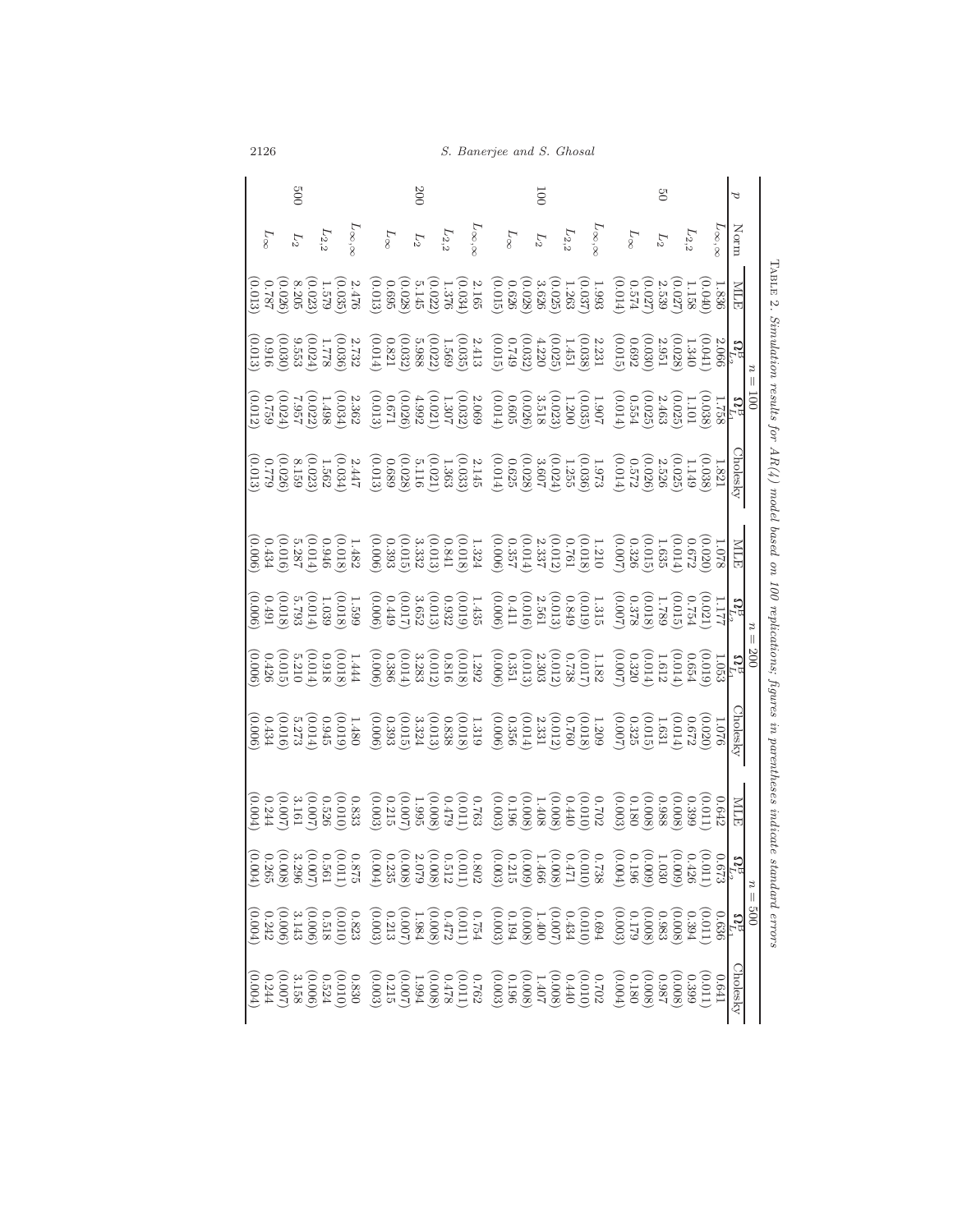| 00 <sub>2</sub>                                           | 200                                                                                                                                                                                                                                                                                                                                                                                                                                     | $\overline{001}$                                                 | $\mathcal{C}$                                                        | ರ                                                                                                                          |
|-----------------------------------------------------------|-----------------------------------------------------------------------------------------------------------------------------------------------------------------------------------------------------------------------------------------------------------------------------------------------------------------------------------------------------------------------------------------------------------------------------------------|------------------------------------------------------------------|----------------------------------------------------------------------|----------------------------------------------------------------------------------------------------------------------------|
| $L_{\infty,\infty}$<br>$L_{2,2}$<br>$L_{\infty}$<br>$L_2$ | $L_{\infty,\infty}$<br>$L_\infty$<br>$L_{\rm 2,2}$<br>$L_2$                                                                                                                                                                                                                                                                                                                                                                             | $L_{\infty,\infty}$<br>$L_\infty$<br>$L_{\rm 2,2}$<br>$\cal L_2$ | $L_{\infty, \infty}$<br>$L_{2,2}$<br>$L_{\infty}$<br>$\mathcal{L}_2$ | Norm                                                                                                                       |
|                                                           |                                                                                                                                                                                                                                                                                                                                                                                                                                         |                                                                  |                                                                      | IABLE 2.<br><b>NILE</b>                                                                                                    |
|                                                           | $\begin{array}{l} \bf{C} \\[-1.5mm] \bf{1} \\[-1.5mm] \bf{1} \\[-1.5mm] \bf{1} \\[-1.5mm] \bf{1} \\[-1.5mm] \bf{1} \\[-1.5mm] \bf{1} \\[-1.5mm] \bf{1} \\[-1.5mm] \bf{1} \\[-1.5mm] \bf{1} \\[-1.5mm] \bf{1} \\[-1.5mm] \bf{1} \\[-1.5mm] \bf{1} \\[-1.5mm] \bf{1} \\[-1.5mm] \bf{1} \\[-1.5mm] \bf{1} \\[-1.5mm] \bf{1} \\[-1.5mm] \bf{1} \\[-1.$                                                                                      |                                                                  |                                                                      |                                                                                                                            |
|                                                           | $\begin{array}{l l} \hline \mathbf{G} & \mathbf{G} & \mathbf{G} & \mathbf{G} & \mathbf{G} & \mathbf{G} \\ \hline \mathbf{G} & \mathbf{G} & \mathbf{G} & \mathbf{G} & \mathbf{G} & \mathbf{G} & \mathbf{G} \\ \hline \mathbf{G} & \mathbf{G} & \mathbf{G} & \mathbf{G} & \mathbf{G} & \mathbf{G} & \mathbf{G} \\ \hline \mathbf{G} & \mathbf{G} & \mathbf{G} & \mathbf{G} & \mathbf{G} & \mathbf{G} & \mathbf{G} \\ \hline \mathbf{G} &$ |                                                                  |                                                                      |                                                                                                                            |
|                                                           |                                                                                                                                                                                                                                                                                                                                                                                                                                         |                                                                  |                                                                      | <b>Cholesky</b>                                                                                                            |
| (0.006)                                                   | $\begin{array}{l} 1.078\\ 0.000\\ 0.010\\ 0.000\\ 0.000\\ 0.000\\ 0.000\\ 0.000\\ 0.000\\ 0.000\\ 0.000\\ 0.000\\ 0.000\\ 0.000\\ 0.000\\ 0.000\\ 0.000\\ 0.000\\ 0.000\\ 0.000\\ 0.000\\ 0.000\\ 0.000\\ 0.000\\ 0.000\\ 0.000\\ 0.000\\ 0.000\\ 0.000\\ 0.000\\ 0.$                                                                                                                                                                   |                                                                  |                                                                      | <b>NILE</b>                                                                                                                |
|                                                           | $\begin{array}{l} \mathbf{G}^{L1}_{11} \\ \mathbf{G}^{L2}_{12} \\ \mathbf{G}^{L3}_{13} \\ \mathbf{G}^{L1}_{12} \\ \mathbf{G}^{L2}_{13} \\ \mathbf{G}^{L3}_{14} \\ \mathbf{G}^{L1}_{15} \\ \mathbf{G}^{L2}_{15} \\ \mathbf{G}^{L3}_{16} \\ \mathbf{G}^{L1}_{16} \\ \mathbf{G}^{L2}_{16} \\ \mathbf{G}^{L3}_{16} \\ \mathbf{G}^{L3}_{16} \\ \mathbf{G}^{L3}_{16} \\ \mathbf{G}^{L3}_{16} \\ \mathbf$                                      |                                                                  |                                                                      |                                                                                                                            |
|                                                           | $\begin{array}{c} \begin{array}{c} \textbf{0.7}_{1,1} \\ \textbf{1.6}_{1,2} \\ \textbf{2.5}_{1,3} \\ \textbf{3.5}_{1,4} \\ \textbf{4.5}_{1,5} \\ \textbf{5.5}_{1,6} \\ \textbf{6.5}_{1,6} \\ \textbf{7.5}_{1,6} \\ \textbf{8.5}_{1,7} \\ \textbf{9.5}_{1,7} \\ \textbf{1.6}_{1,7} \\ \textbf{1.6}_{1,7} \\ \textbf{1.6}_{1,7} \\ \textbf{1.6}_{1,7} \\ \textbf{1.6}_{1,7} \\ \textbf{1.6}_{1,7$                                         |                                                                  |                                                                      |                                                                                                                            |
|                                                           |                                                                                                                                                                                                                                                                                                                                                                                                                                         |                                                                  |                                                                      | Simulation results for $AR(4)$ model based on 100 replications; figures in parentheses indicate standard errors<br>holesky |
|                                                           |                                                                                                                                                                                                                                                                                                                                                                                                                                         |                                                                  |                                                                      | <b>NILE</b>                                                                                                                |
|                                                           | $\begin{array}{c} \mathbf{G}_{12}^{D_1}\\ \mathbf{G}_{21}^{D_2}\\ \mathbf{G}_{32}^{D_3}\\ \mathbf{G}_{42}^{D_4}\\ \mathbf{G}_{53}^{D_5}\\ \mathbf{G}_{63}^{D_6}\\ \mathbf{G}_{73}^{D_6}\\ \mathbf{G}_{83}^{D_7}\\ \mathbf{G}_{93}^{D_8}\\ \mathbf{G}_{93}^{D_6}\\ \mathbf{G}_{93}^{D_6}\\ \mathbf{G}_{93}^{D_6}\\ \mathbf{G}_{93}^{D_6}\\ \mathbf{G}_{93}^{D_6}\\ \mathbf{G}_{93}^{D_6}\\ \mathbf$                                      |                                                                  |                                                                      | $\boldsymbol{u}$                                                                                                           |
|                                                           | $\begin{array}{l} 0.636 \\[-4pt] 0.6368 \\[-4pt] 0.6368 \\[-4pt] 0.6368 \\[-4pt] 0.6368 \\[-4pt] 0.6368 \\[-4pt] 0.6368 \\[-4pt] 0.6368 \\[-4pt] 0.6368 \\[-4pt] 0.6368 \\[-4pt] 0.6368 \\[-4pt] 0.6368 \\[-4pt] 0.6368 \\[-4pt] 0.6368 \\[-4pt] 0.6368 \\[-4pt] 0.6368 \\[-4pt] 0.6368 \\[-4pt] 0.6368 \\[-4$                                                                                                                          |                                                                  |                                                                      | $\parallel$                                                                                                                |
| (0.004)                                                   |                                                                                                                                                                                                                                                                                                                                                                                                                                         |                                                                  | 179.0                                                                | Cholesky                                                                                                                   |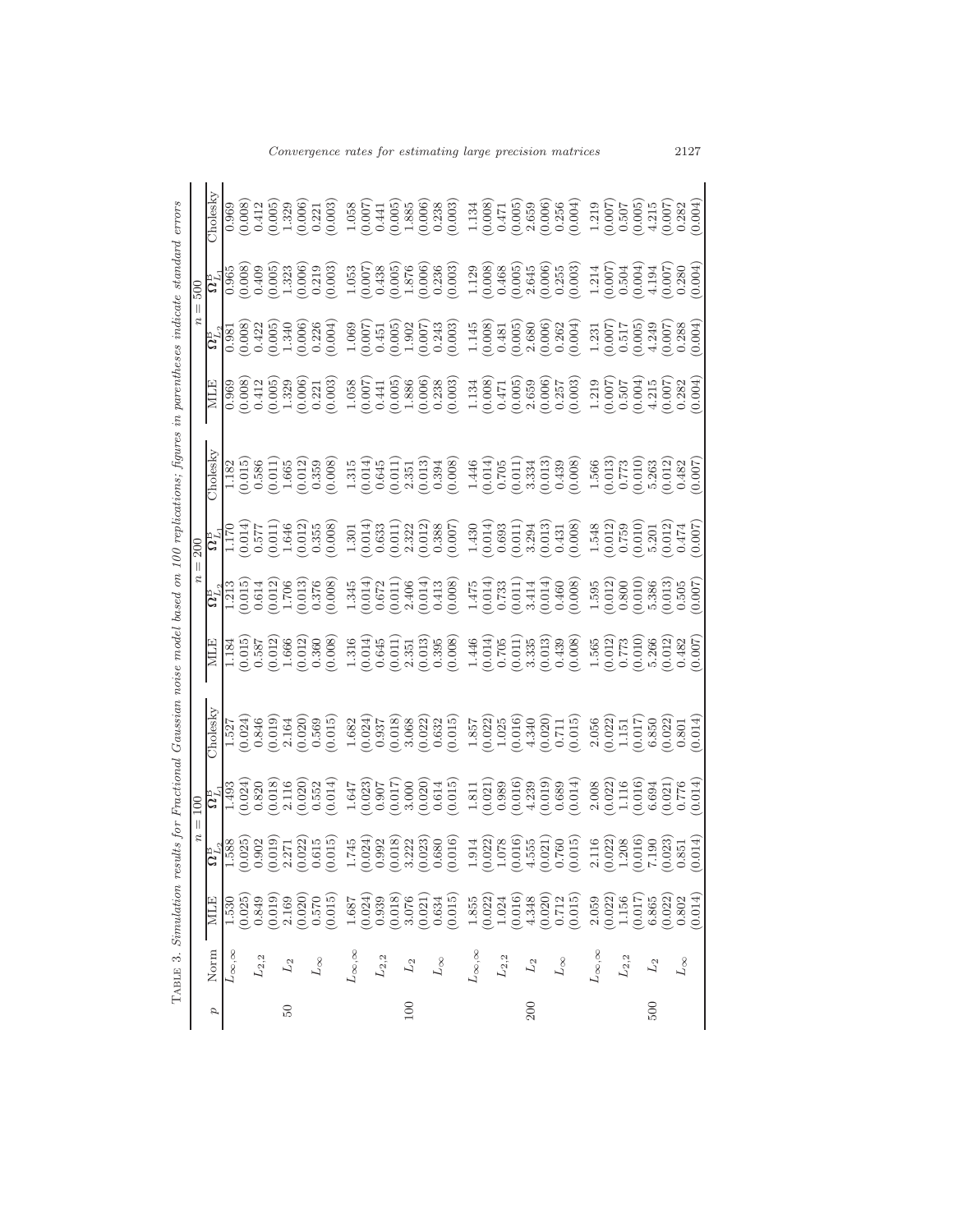Convergence rates for estimating large precision matrices 2127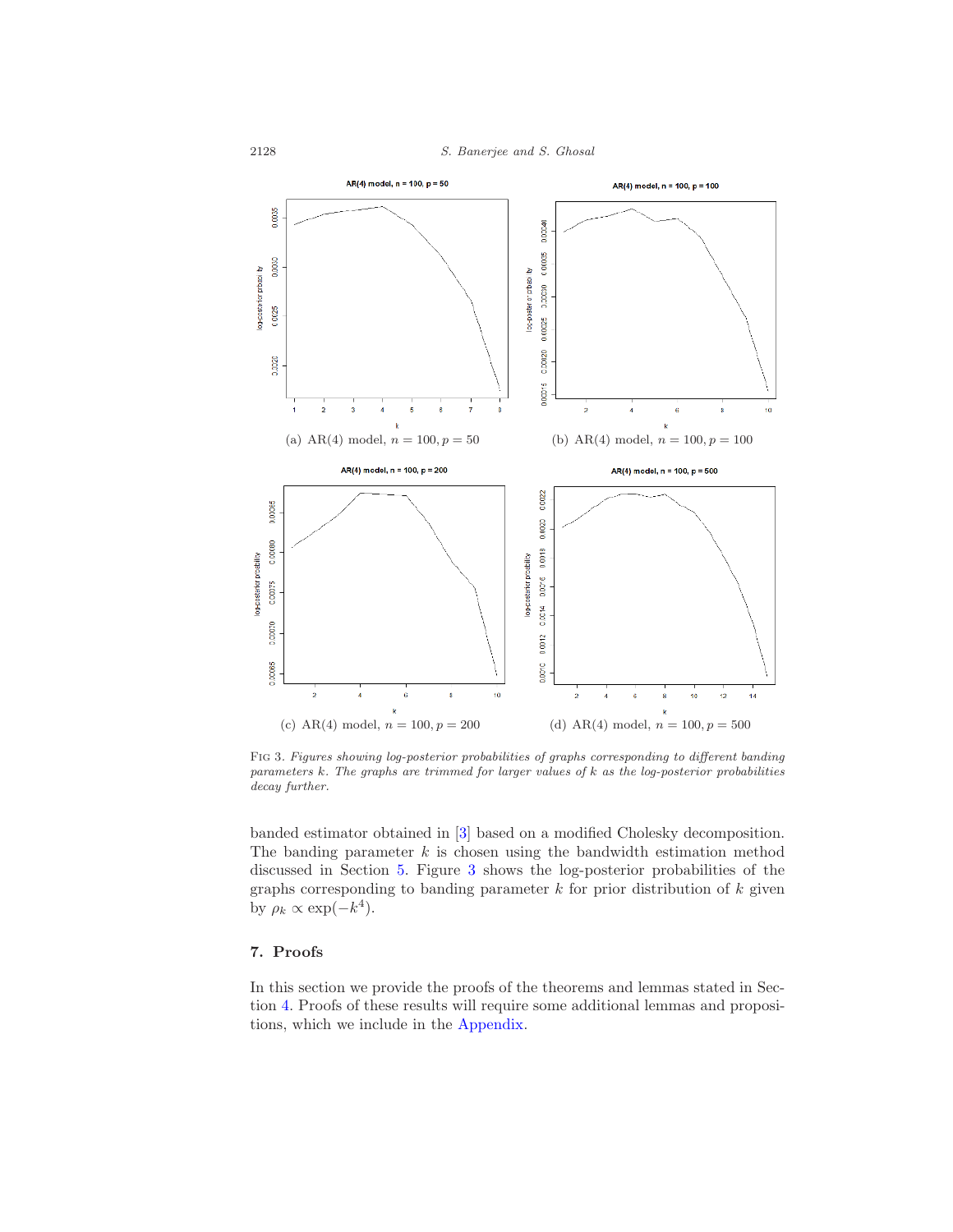

Fig 3. Figures showing log-posterior probabilities of graphs corresponding to different banding parameters  $k$ . The graphs are trimmed for larger values of  $k$  as the log-posterior probabilities decay further.

banded estimator obtained in [3] based on a modified Cholesky decomposition. The banding parameter  $k$  is chosen using the bandwidth estimation method discussed in Section 5. Figure 3 shows the log-posterior probabilities of the graphs corresponding to banding parameter  $k$  for prior distribution of  $k$  given by  $\rho_k \propto \exp(-k^4)$ .

# 7. Proofs

In this section we provide the proofs of the theorems and lemmas stated in Section 4. Proofs of these results will require some additional lemmas and propositions, which we include in the Appendix.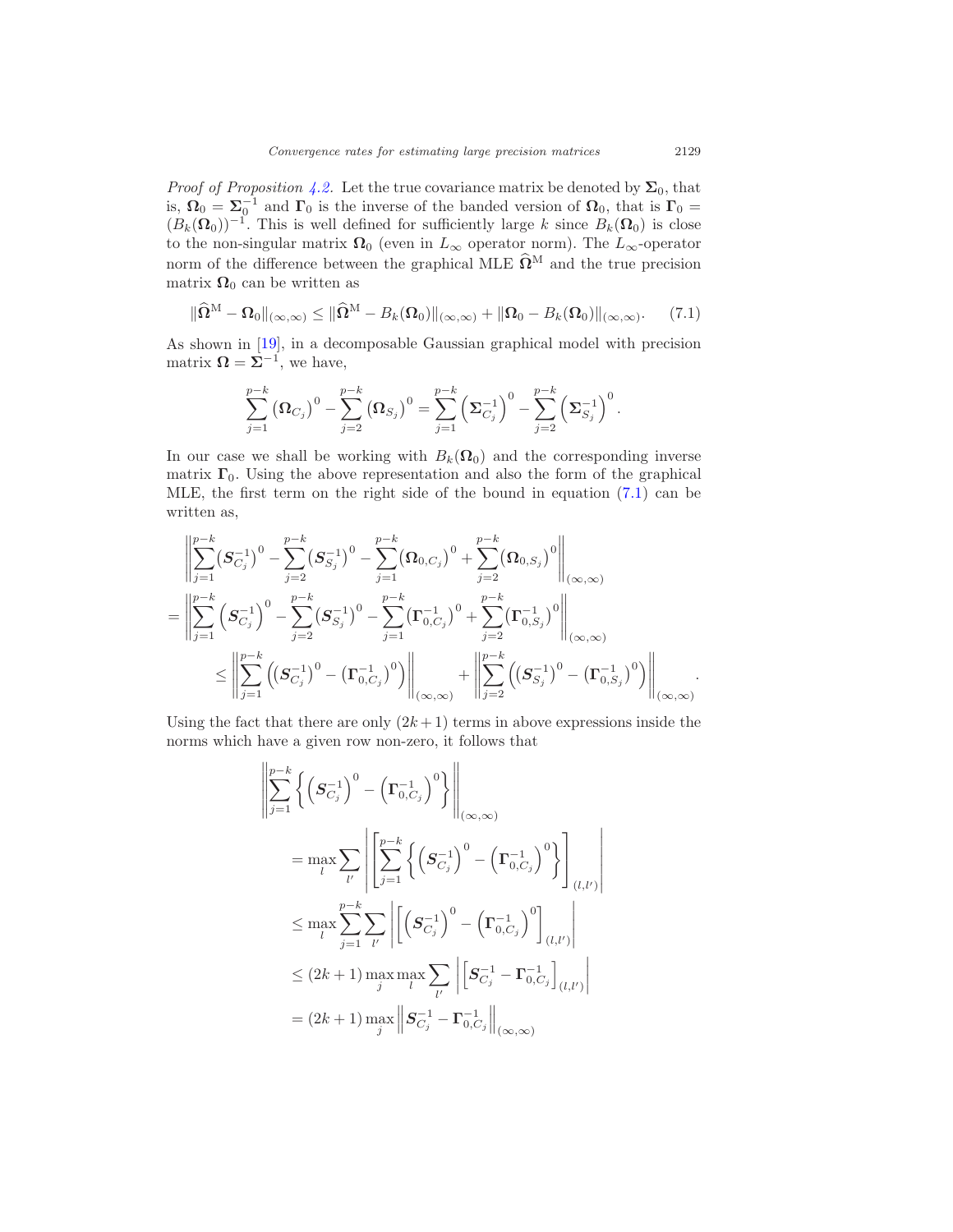*Proof of Proposition 4.2.* Let the true covariance matrix be denoted by  $\Sigma_0$ , that is,  $\Omega_0 = \Sigma_0^{-1}$  and  $\Gamma_0$  is the inverse of the banded version of  $\Omega_0$ , that is  $\Gamma_0 =$  $(B_k(\Omega_0))^{-1}$ . This is well defined for sufficiently large k since  $B_k(\Omega_0)$  is close to the non-singular matrix  $\Omega_0$  (even in  $L_{\infty}$  operator norm). The  $L_{\infty}$ -operator norm of the difference between the graphical MLE  $\widehat{\Omega}^M$  and the true precision matrix  $\Omega_0$  can be written as

$$
\|\widehat{\Omega}^{\mathcal{M}} - \Omega_0\|_{(\infty,\infty)} \le \|\widehat{\Omega}^{\mathcal{M}} - B_k(\Omega_0)\|_{(\infty,\infty)} + \|\Omega_0 - B_k(\Omega_0)\|_{(\infty,\infty)}.
$$
 (7.1)

As shown in [19], in a decomposable Gaussian graphical model with precision matrix  $\mathbf{\Omega} = \mathbf{\Sigma}^{-1}$ , we have,

$$
\sum_{j=1}^{p-k} (\Omega_{C_j})^0 - \sum_{j=2}^{p-k} (\Omega_{S_j})^0 = \sum_{j=1}^{p-k} (\Sigma_{C_j}^{-1})^0 - \sum_{j=2}^{p-k} (\Sigma_{S_j}^{-1})^0.
$$

In our case we shall be working with  $B_k(\Omega_0)$  and the corresponding inverse matrix  $\Gamma_0$ . Using the above representation and also the form of the graphical MLE, the first term on the right side of the bound in equation (7.1) can be written as,

$$
\begin{aligned}&\left\|\sum_{j=1}^{p-k}\left(\boldsymbol{S}_{C_{j}}^{-1}\right)^{0}-\sum_{j=2}^{p-k}\left(\boldsymbol{S}_{S_{j}}^{-1}\right)^{0}-\sum_{j=1}^{p-k}\left(\boldsymbol{\Omega}_{0,C_{j}}\right)^{0}+\sum_{j=2}^{p-k}\left(\boldsymbol{\Omega}_{0,S_{j}}\right)^{0}\right\|_{\left(\infty,\infty\right)}\\&=\left\|\sum_{j=1}^{p-k}\left(\boldsymbol{S}_{C_{j}}^{-1}\right)^{0}-\sum_{j=2}^{p-k}\left(\boldsymbol{S}_{S_{j}}^{-1}\right)^{0}-\sum_{j=1}^{p-k}\left(\boldsymbol{\Gamma}_{0,C_{j}}^{-1}\right)^{0}+\sum_{j=2}^{p-k}\left(\boldsymbol{\Gamma}_{0,S_{j}}^{-1}\right)^{0}\right\|_{\left(\infty,\infty\right)}\\&\leq\left\|\sum_{j=1}^{p-k}\left(\left(\boldsymbol{S}_{C_{j}}^{-1}\right)^{0}-\left(\boldsymbol{\Gamma}_{0,C_{j}}^{-1}\right)^{0}\right)\right\|_{\left(\infty,\infty\right)}+\left\|\sum_{j=2}^{p-k}\left(\left(\boldsymbol{S}_{S_{j}}^{-1}\right)^{0}-\left(\boldsymbol{\Gamma}_{0,S_{j}}^{-1}\right)^{0}\right)\right\|_{\left(\infty,\infty\right)}.\end{aligned}
$$

Using the fact that there are only  $(2k+1)$  terms in above expressions inside the norms which have a given row non-zero, it follows that

$$
\left\| \sum_{j=1}^{p-k} \left\{ \left( \mathbf{S}_{C_j}^{-1} \right)^0 - \left( \mathbf{\Gamma}_{0,C_j}^{-1} \right)^0 \right\} \right\|_{(\infty,\infty)}
$$
\n
$$
= \max_{l} \sum_{l'} \left| \left[ \sum_{j=1}^{p-k} \left\{ \left( \mathbf{S}_{C_j}^{-1} \right)^0 - \left( \mathbf{\Gamma}_{0,C_j}^{-1} \right)^0 \right\} \right]_{(l,l')} \right|
$$
\n
$$
\leq \max_{l} \sum_{j=1}^{p-k} \sum_{l'} \left| \left[ \left( \mathbf{S}_{C_j}^{-1} \right)^0 - \left( \mathbf{\Gamma}_{0,C_j}^{-1} \right)^0 \right]_{(l,l')} \right|
$$
\n
$$
\leq (2k+1) \max_{j} \max_{l'} \sum_{l'} \left| \left[ \mathbf{S}_{C_j}^{-1} - \mathbf{\Gamma}_{0,C_j}^{-1} \right]_{(l,l')} \right|
$$
\n
$$
= (2k+1) \max_{j} \left\| \mathbf{S}_{C_j}^{-1} - \mathbf{\Gamma}_{0,C_j}^{-1} \right\|_{(\infty,\infty)}
$$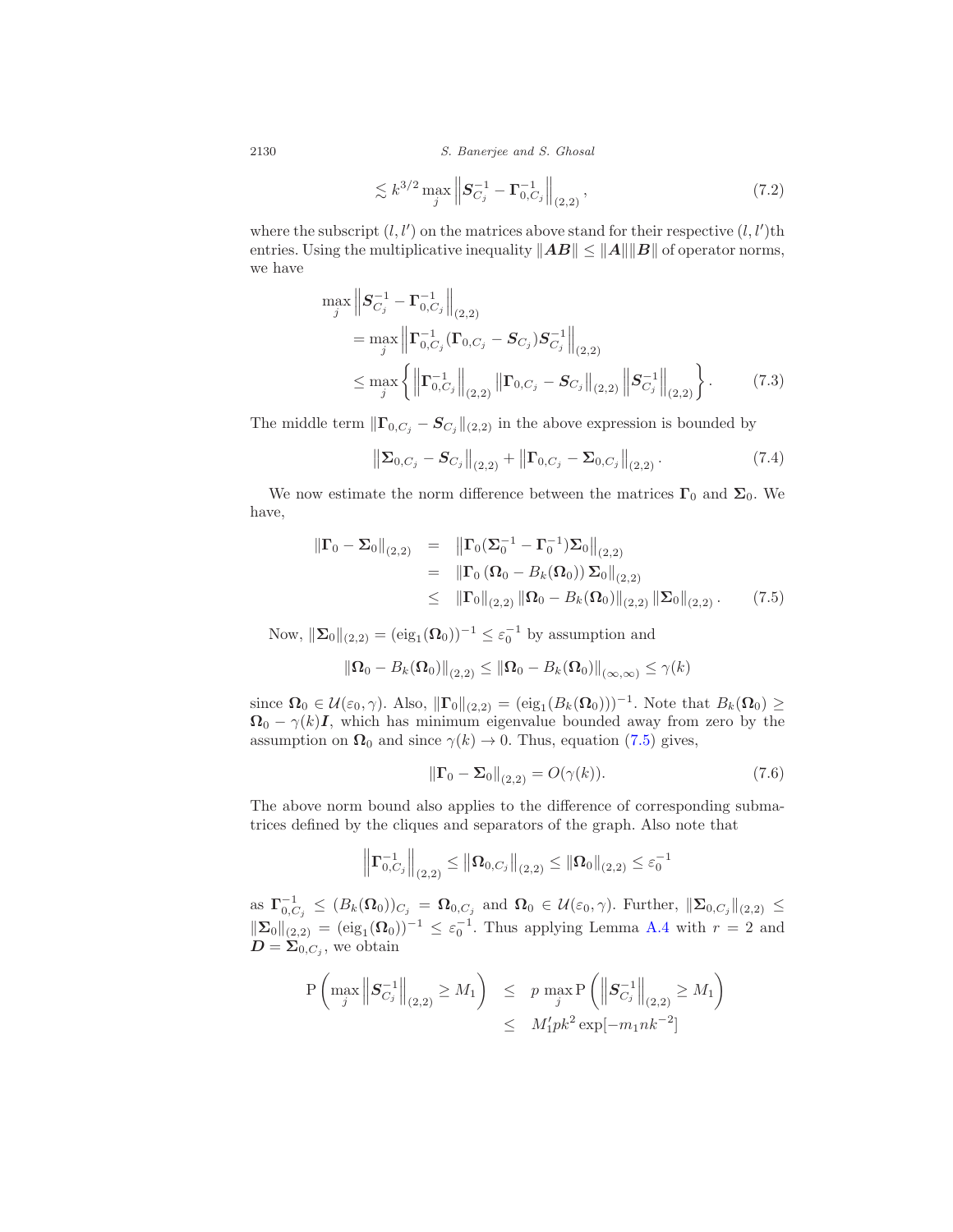$$
\lesssim k^{3/2} \max_{j} \left\| S_{C_j}^{-1} - \Gamma_{0,C_j}^{-1} \right\|_{(2,2)},
$$
\n(7.2)

where the subscript  $(l, l')$  on the matrices above stand for their respective  $(l, l')$ th entries. Using the multiplicative inequality  $||AB|| \le ||A|| ||B||$  of operator norms, we have

$$
\max_{j} \left\| S_{C_{j}}^{-1} - \Gamma_{0,C_{j}}^{-1} \right\|_{(2,2)} \n= \max_{j} \left\| \Gamma_{0,C_{j}}^{-1} (\Gamma_{0,C_{j}} - S_{C_{j}}) S_{C_{j}}^{-1} \right\|_{(2,2)} \n\leq \max_{j} \left\{ \left\| \Gamma_{0,C_{j}}^{-1} \right\|_{(2,2)} \left\| \Gamma_{0,C_{j}} - S_{C_{j}} \right\|_{(2,2)} \left\| S_{C_{j}}^{-1} \right\|_{(2,2)} \right\}.
$$
\n(7.3)

The middle term  $\|\Gamma_{0,C_j} - \mathbf{S}_{C_j}\|_{(2,2)}$  in the above expression is bounded by

$$
\left\| \Sigma_{0,C_j} - S_{C_j} \right\|_{(2,2)} + \left\| \Gamma_{0,C_j} - \Sigma_{0,C_j} \right\|_{(2,2)}.
$$
 (7.4)

We now estimate the norm difference between the matrices  $\Gamma_0$  and  $\Sigma_0$ . We have,

$$
\begin{array}{rcl}\n\|\mathbf{\Gamma}_0 - \mathbf{\Sigma}_0\|_{(2,2)} & = & \left\|\mathbf{\Gamma}_0(\mathbf{\Sigma}_0^{-1} - \mathbf{\Gamma}_0^{-1})\mathbf{\Sigma}_0\right\|_{(2,2)} \\
& = & \left\|\mathbf{\Gamma}_0\left(\mathbf{\Omega}_0 - B_k(\mathbf{\Omega}_0)\right)\mathbf{\Sigma}_0\right\|_{(2,2)} \\
& \leq & \left\|\mathbf{\Gamma}_0\right\|_{(2,2)} \left\|\mathbf{\Omega}_0 - B_k(\mathbf{\Omega}_0)\right\|_{(2,2)} \left\|\mathbf{\Sigma}_0\right\|_{(2,2)}.\n\end{array} \tag{7.5}
$$

Now,  $\|\mathbf{\Sigma}_0\|_{(2,2)} = (\text{eig}_1(\mathbf{\Omega}_0))^{-1} \leq \varepsilon_0^{-1}$  by assumption and

$$
\|\boldsymbol{\Omega}_0-B_k(\boldsymbol{\Omega}_0)\|_{(2,2)}\leq \|\boldsymbol{\Omega}_0-B_k(\boldsymbol{\Omega}_0)\|_{(\infty,\infty)}\leq \gamma(k)
$$

since  $\Omega_0 \in \mathcal{U}(\varepsilon_0, \gamma)$ . Also,  $\|\Gamma_0\|_{(2,2)} = (\text{eig}_1(B_k(\Omega_0)))^{-1}$ . Note that  $B_k(\Omega_0) \ge$  $\Omega_0 - \gamma(k)I$ , which has minimum eigenvalue bounded away from zero by the assumption on  $\Omega_0$  and since  $\gamma(k) \to 0$ . Thus, equation (7.5) gives,

$$
\|\Gamma_0 - \Sigma_0\|_{(2,2)} = O(\gamma(k)).\tag{7.6}
$$

The above norm bound also applies to the difference of corresponding submatrices defined by the cliques and separators of the graph. Also note that

$$
\left\| \Gamma_{0,C_j}^{-1} \right\|_{(2,2)} \le \left\| \Omega_{0,C_j} \right\|_{(2,2)} \le \left\| \Omega_0 \right\|_{(2,2)} \le \varepsilon_0^{-1}
$$

as  $\Gamma_{0,C_j}^{-1} \leq (B_k(\Omega_0))_{C_j} = \Omega_{0,C_j}$  and  $\Omega_0 \in \mathcal{U}(\varepsilon_0,\gamma)$ . Further,  $\|\Sigma_{0,C_j}\|_{(2,2)} \leq$  $\|\mathbf{\Sigma}_0\|_{(2,2)} = (\text{eig}_1(\mathbf{\Omega}_0))^{-1} \leq \varepsilon_0^{-1}$ . Thus applying Lemma A.4 with  $r = 2$  and  $\mathbf{D} = \mathbf{\Sigma}_{0,C_j}$ , we obtain

$$
P\left(\max_{j} \left\|S_{C_j}^{-1}\right\|_{(2,2)} \ge M_1\right) \le p \max_{j} P\left(\left\|S_{C_j}^{-1}\right\|_{(2,2)} \ge M_1\right) \le M_1' pk^2 \exp[-m_1nk^{-2}]
$$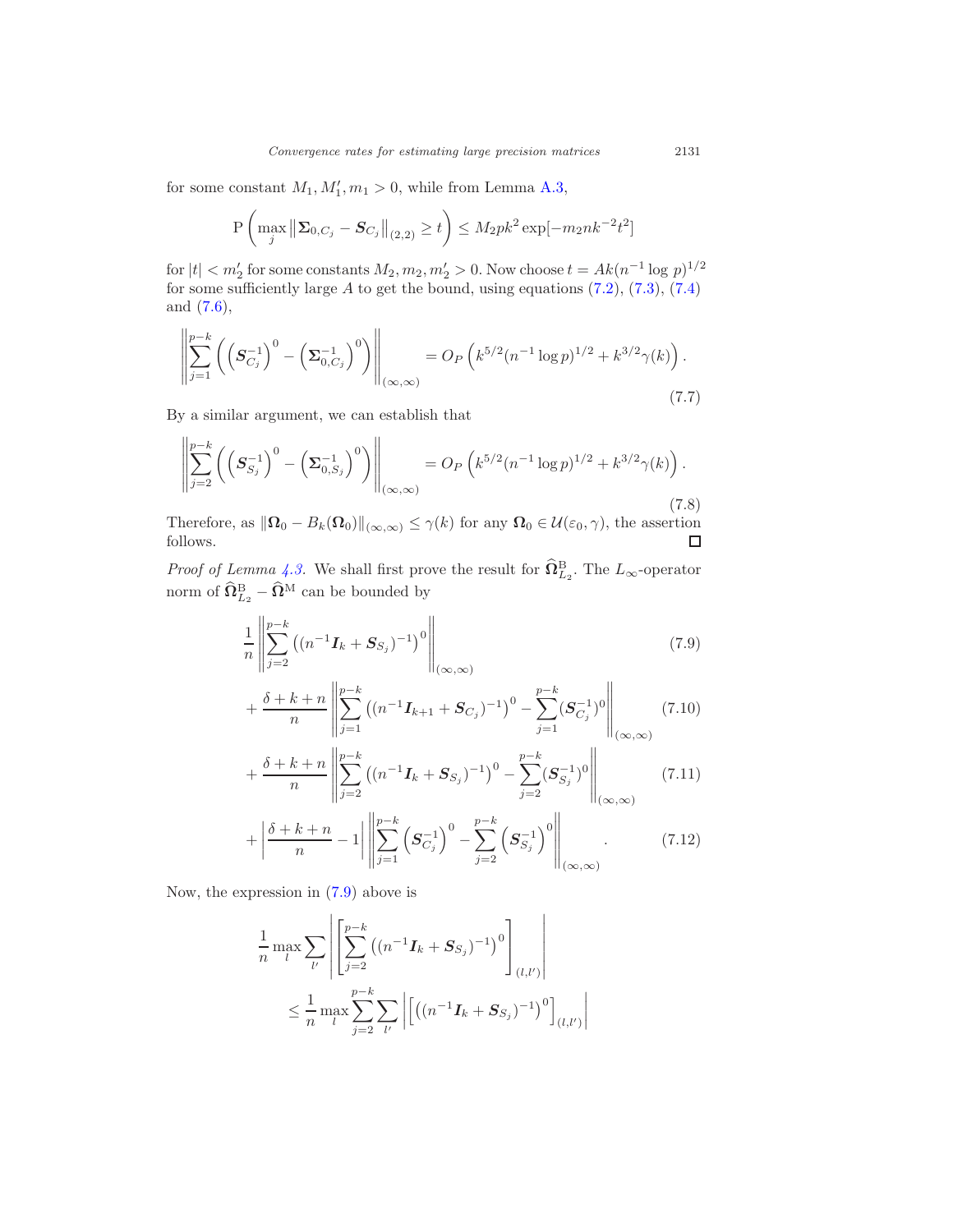for some constant  $M_1, M'_1, m_1 > 0$ , while from Lemma A.3,

$$
\mathbf{P}\left(\max_{j} \left\|\mathbf{\Sigma}_{0,C_j} - \mathbf{S}_{C_j}\right\|_{(2,2)} \ge t\right) \le M_2 p k^2 \exp[-m_2 n k^{-2} t^2]
$$

for  $|t| < m'_2$  for some constants  $M_2, m_2, m'_2 > 0$ . Now choose  $t = Ak(n^{-1} \log p)^{1/2}$ for some sufficiently large  $A$  to get the bound, using equations  $(7.2)$ ,  $(7.3)$ ,  $(7.4)$ and (7.6),

$$
\left\| \sum_{j=1}^{p-k} \left( \left( \mathbf{S}_{C_j}^{-1} \right)^0 - \left( \mathbf{\Sigma}_{0,C_j}^{-1} \right)^0 \right) \right\|_{(\infty,\infty)} = O_P \left( k^{5/2} (n^{-1} \log p)^{1/2} + k^{3/2} \gamma(k) \right).
$$
\n(7.7)

By a similar argument, we can establish that

$$
\left\| \sum_{j=2}^{p-k} \left( \left( \mathbf{S}_{S_j}^{-1} \right)^0 - \left( \mathbf{\Sigma}_{0,S_j}^{-1} \right)^0 \right) \right\|_{(\infty,\infty)} = O_P \left( k^{5/2} (n^{-1} \log p)^{1/2} + k^{3/2} \gamma(k) \right).
$$
\n(7.8)

Therefore, as  $\|\mathbf{\Omega}_0 - B_k(\mathbf{\Omega}_0)\|_{(\infty,\infty)} \leq \gamma(k)$  for any  $\mathbf{\Omega}_0 \in \mathcal{U}(\varepsilon_0, \gamma)$ , the assertion follows.

*Proof of Lemma 4.3.* We shall first prove the result for  $\widehat{\Omega}_{L_2}^B$ . The  $L_{\infty}$ -operator norm of  $\widehat{\Omega}^{\text{B}}_{L_2} - \widehat{\Omega}^{\text{M}}$  can be bounded by

$$
\frac{1}{n} \left\| \sum_{j=2}^{p-k} \left( (n^{-1} \boldsymbol{I}_k + \boldsymbol{S}_{S_j})^{-1} \right)^0 \right\|_{(\infty,\infty)} \tag{7.9}
$$

$$
+\frac{\delta+k+n}{n}\left\|\sum_{j=1}^{p-k}\left((n^{-1}\mathbf{I}_{k+1}+\mathbf{S}_{C_j})^{-1}\right)^0-\sum_{j=1}^{p-k}(\mathbf{S}_{C_j}^{-1})^0\right\|_{(\infty,\infty)}(7.10)
$$

$$
+\frac{\delta + k + n}{n} \left\| \sum_{j=2}^{p-k} \left( (n^{-1} \mathbf{I}_k + \mathbf{S}_{S_j})^{-1} \right)^0 - \sum_{j=2}^{p-k} (\mathbf{S}_{S_j}^{-1})^0 \right\|_{(\infty,\infty)} \tag{7.11}
$$

$$
+ \left| \frac{\delta + k + n}{n} - 1 \right| \left\| \sum_{j=1}^{p-k} \left( S_{C_j}^{-1} \right)^0 - \sum_{j=2}^{p-k} \left( S_{S_j}^{-1} \right)^0 \right\|_{(\infty,\infty)} . \tag{7.12}
$$

Now, the expression in (7.9) above is

$$
\frac{1}{n} \max_{l} \sum_{l'} \left| \left[ \sum_{j=2}^{p-k} \left( (n^{-1} \mathbf{I}_k + \mathbf{S}_{S_j})^{-1} \right)^0 \right]_{(l,l')} \right|
$$
\n
$$
\leq \frac{1}{n} \max_{l} \sum_{j=2}^{p-k} \sum_{l'} \left| \left[ \left( (n^{-1} \mathbf{I}_k + \mathbf{S}_{S_j})^{-1} \right)^0 \right]_{(l,l')} \right|
$$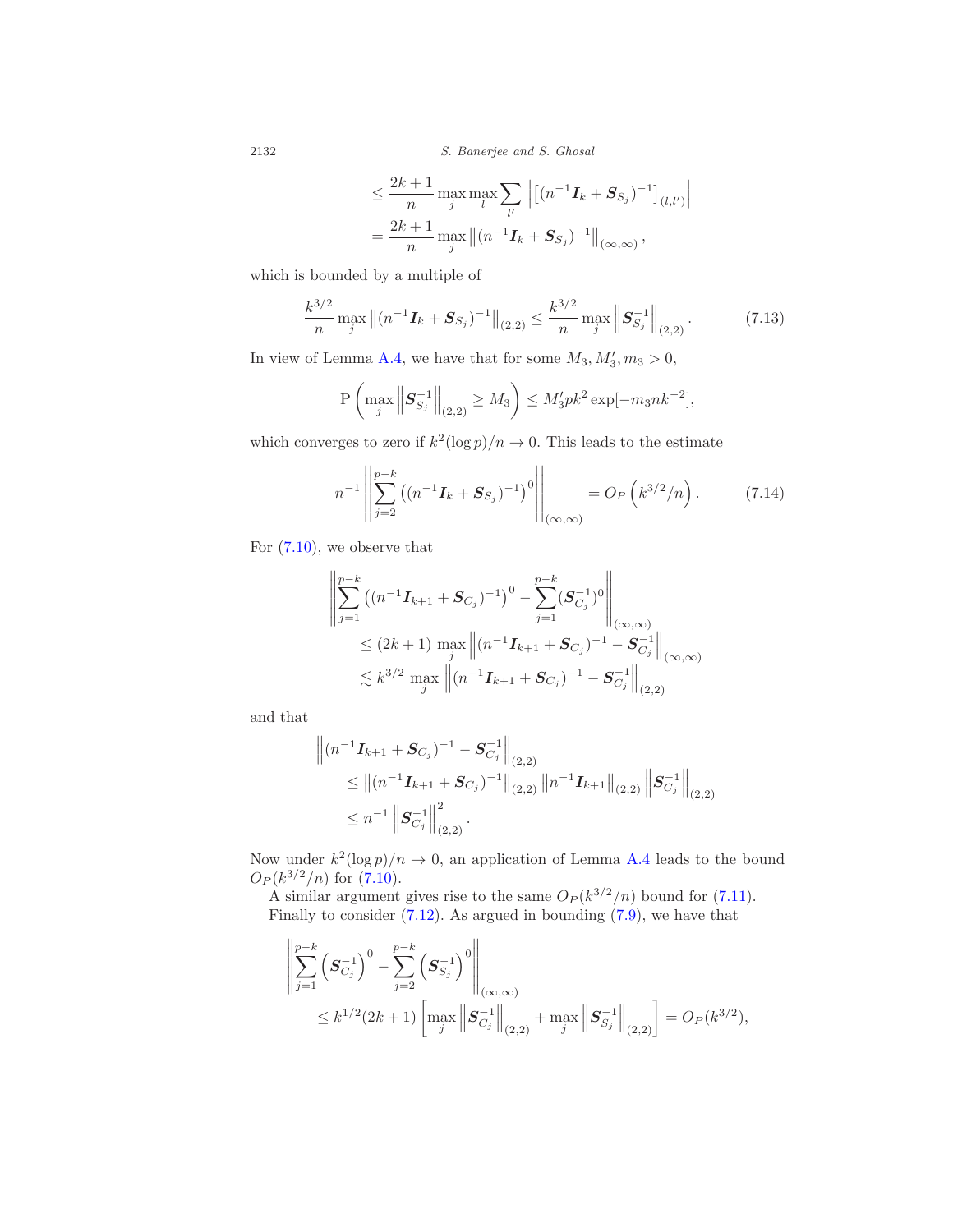$$
\leq \frac{2k+1}{n} \max_{j} \max_{l} \sum_{l'} \left| \left[ (n^{-1} \mathbf{I}_k + \mathbf{S}_{S_j})^{-1} \right]_{(l,l')} \right|
$$
  
= 
$$
\frac{2k+1}{n} \max_{j} \left\| (n^{-1} \mathbf{I}_k + \mathbf{S}_{S_j})^{-1} \right\|_{(\infty,\infty)},
$$

which is bounded by a multiple of

$$
\frac{k^{3/2}}{n} \max_{j} \left\| (n^{-1} \mathbf{I}_k + \mathbf{S}_{S_j})^{-1} \right\|_{(2,2)} \le \frac{k^{3/2}}{n} \max_{j} \left\| \mathbf{S}_{S_j}^{-1} \right\|_{(2,2)}.
$$
 (7.13)

In view of Lemma A.4, we have that for some  $M_3, M'_3, m_3 > 0$ ,

$$
\mathbf{P}\left(\max_{j} \left\| \mathbf{S}_{S_j}^{-1} \right\|_{(2,2)} \ge M_3 \right) \le M_3' pk^2 \exp[-m_3nk^{-2}],
$$

which converges to zero if  $k^2(\log p)/n \to 0$ . This leads to the estimate

$$
n^{-1} \left\| \sum_{j=2}^{p-k} \left( (n^{-1} \mathbf{I}_k + \mathbf{S}_{S_j})^{-1} \right)^0 \right\|_{(\infty,\infty)} = O_P\left( k^{3/2} / n \right). \tag{7.14}
$$

For (7.10), we observe that

$$
\| \sum_{j=1}^{p-k} \left( (n^{-1} \mathbf{I}_{k+1} + \mathbf{S}_{C_j})^{-1} \right)^0 - \sum_{j=1}^{p-k} (\mathbf{S}_{C_j}^{-1})^0 \Bigg\|_{(\infty,\infty)}
$$
  
\n
$$
\leq (2k+1) \max_{j} \left\| (n^{-1} \mathbf{I}_{k+1} + \mathbf{S}_{C_j})^{-1} - \mathbf{S}_{C_j}^{-1} \right\|_{(\infty,\infty)}
$$
  
\n
$$
\lesssim k^{3/2} \max_{j} \left\| (n^{-1} \mathbf{I}_{k+1} + \mathbf{S}_{C_j})^{-1} - \mathbf{S}_{C_j}^{-1} \right\|_{(2,2)}
$$

and that

$$
\| (n^{-1} \mathbf{I}_{k+1} + \mathbf{S}_{C_j})^{-1} - \mathbf{S}_{C_j}^{-1} \|_{(2,2)}
$$
  
\n
$$
\leq \| (n^{-1} \mathbf{I}_{k+1} + \mathbf{S}_{C_j})^{-1} \|_{(2,2)} \| n^{-1} \mathbf{I}_{k+1} \|_{(2,2)} \| \mathbf{S}_{C_j}^{-1} \|_{(2,2)}
$$
  
\n
$$
\leq n^{-1} \| \mathbf{S}_{C_j}^{-1} \|_{(2,2)}^2.
$$

Now under  $k^2(\log p)/n \to 0$ , an application of Lemma A.4 leads to the bound  $O_P(k^{3/2}/n)$  for  $(7.10)$ .

A similar argument gives rise to the same  $O_P(k^{3/2}/n)$  bound for (7.11). Finally to consider  $(7.12)$ . As argued in bounding  $(7.9)$ , we have that

$$
\left\| \sum_{j=1}^{p-k} \left( \mathbf{S}_{C_j}^{-1} \right)^0 - \sum_{j=2}^{p-k} \left( \mathbf{S}_{S_j}^{-1} \right)^0 \right\|_{(\infty,\infty)} \n\leq k^{1/2} (2k+1) \left[ \max_{j} \left\| \mathbf{S}_{C_j}^{-1} \right\|_{(2,2)} + \max_{j} \left\| \mathbf{S}_{S_j}^{-1} \right\|_{(2,2)} \right] = O_P(k^{3/2}),
$$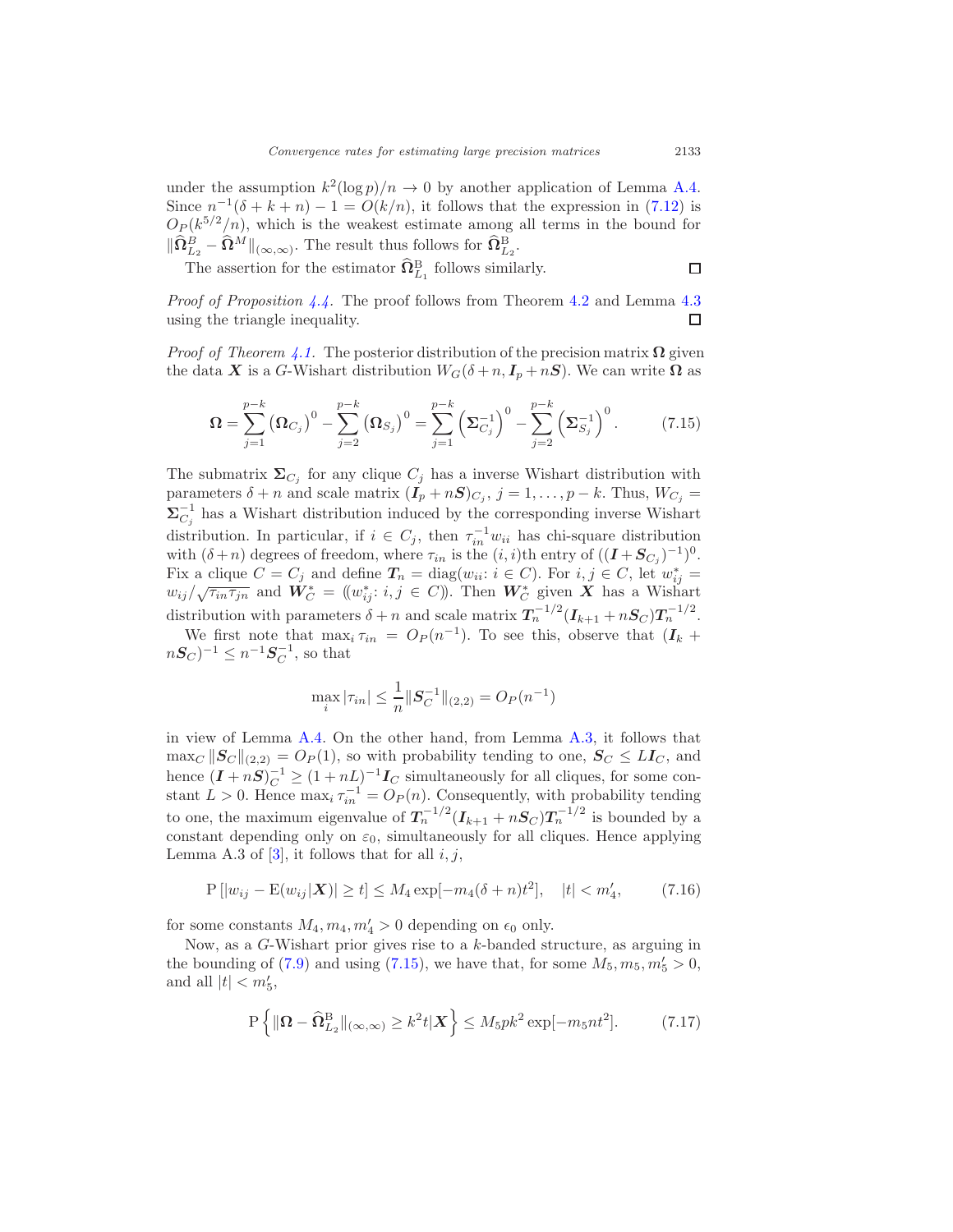under the assumption  $k^2(\log p)/n \to 0$  by another application of Lemma A.4. Since  $n^{-1}(\delta + k + n) - 1 = O(k/n)$ , it follows that the expression in (7.12) is  $O_P(k^{5/2}/n)$ , which is the weakest estimate among all terms in the bound for  $\|\widehat{\Omega}_{L_2}^B - \widehat{\Omega}^M\|_{(\infty,\infty)}$ . The result thus follows for  $\widehat{\Omega}_{L_2}^B$ .

The assertion for the estimator  $\hat{\Omega}_{L_1}^{\text{B}}$  follows similarly.

*Proof of Proposition 4.4.* The proof follows from Theorem 4.2 and Lemma 4.3 using the triangle inequality. □

*Proof of Theorem 4.1.* The posterior distribution of the precision matrix  $\Omega$  given the data X is a G-Wishart distribution  $W_G(\delta + n, I_p + nS)$ . We can write  $\Omega$  as

$$
\Omega = \sum_{j=1}^{p-k} (\Omega_{C_j})^0 - \sum_{j=2}^{p-k} (\Omega_{S_j})^0 = \sum_{j=1}^{p-k} (\Sigma_{C_j}^{-1})^0 - \sum_{j=2}^{p-k} (\Sigma_{S_j}^{-1})^0.
$$
 (7.15)

The submatrix  $\Sigma_{C_j}$  for any clique  $C_j$  has a inverse Wishart distribution with parameters  $\delta + n$  and scale matrix  $(I_p + nS)_{C_j}$ ,  $j = 1, ..., p - k$ . Thus,  $W_{C_j} =$  $\Sigma_{C_j}^{-1}$  has a Wishart distribution induced by the corresponding inverse Wishart distribution. In particular, if  $i \in C_j$ , then  $\tau_{in}^{-1} w_{ii}$  has chi-square distribution with  $(\delta + n)$  degrees of freedom, where  $\tau_{in}$  is the  $(i, i)$ th entry of  $((\boldsymbol{I} + \boldsymbol{S}_{C_j})^{-1})^0$ . Fix a clique  $C = C_j$  and define  $T_n = \text{diag}(w_{ii}: i \in C)$ . For  $i, j \in C$ , let  $w_{ij}^* =$  $w_{ij}/\sqrt{\tau_{in}\tau_{jn}}$  and  $\mathbf{W}_{C}^{*} = (w_{ij}^{*}: i, j \in C)$ ). Then  $\mathbf{W}_{C}^{*}$  given  $\mathbf{X}$  has a Wishart distribution with parameters  $\delta + n$  and scale matrix  $T_n^{-1/2} (I_{k+1} + nS_C) T_n^{-1/2}$ .

We first note that  $\max_i \tau_{in} = O_P(n^{-1})$ . To see this, observe that  $(I_k + I_k)$  $nS_C$ <sup>-1</sup>  $\leq n^{-1}S_C^{-1}$ , so that

$$
\max_{i} |\tau_{in}| \leq \frac{1}{n} \|S_C^{-1}\|_{(2,2)} = O_P(n^{-1})
$$

in view of Lemma A.4. On the other hand, from Lemma A.3, it follows that  $\max_C ||S_C||_{(2,2)} = O_P(1)$ , so with probability tending to one,  $S_C \leq LI_C$ , and hence  $(I + nS)^{-1} \ge (1 + nL)^{-1}I_C$  simultaneously for all cliques, for some constant  $L > 0$ . Hence  $\max_i \tau_{in}^{-1} = O_P(n)$ . Consequently, with probability tending to one, the maximum eigenvalue of  $T_n^{-1/2} (I_{k+1} + nS_C)T_n^{-1/2}$  is bounded by a constant depending only on  $\varepsilon_0$ , simultaneously for all cliques. Hence applying Lemma A.3 of  $[3]$ , it follows that for all  $i, j$ ,

$$
P[|w_{ij} - E(w_{ij}|\mathbf{X})| \ge t] \le M_4 \exp[-m_4(\delta + n)t^2], \quad |t| < m_4', \tag{7.16}
$$

for some constants  $M_4, m_4, m'_4 > 0$  depending on  $\epsilon_0$  only.

Now, as a G-Wishart prior gives rise to a k-banded structure, as arguing in the bounding of (7.9) and using (7.15), we have that, for some  $M_5, m_5, m'_5 > 0$ , and all  $|t| < m'_5$ ,

$$
P\left\{\|\mathbf{\Omega} - \widehat{\mathbf{\Omega}}_{L_2}^{\mathrm{B}}\|_{(\infty,\infty)} \ge k^2 t | \mathbf{X}\right\} \le M_5 p k^2 \exp[-m_5 n t^2].\tag{7.17}
$$

 $\Box$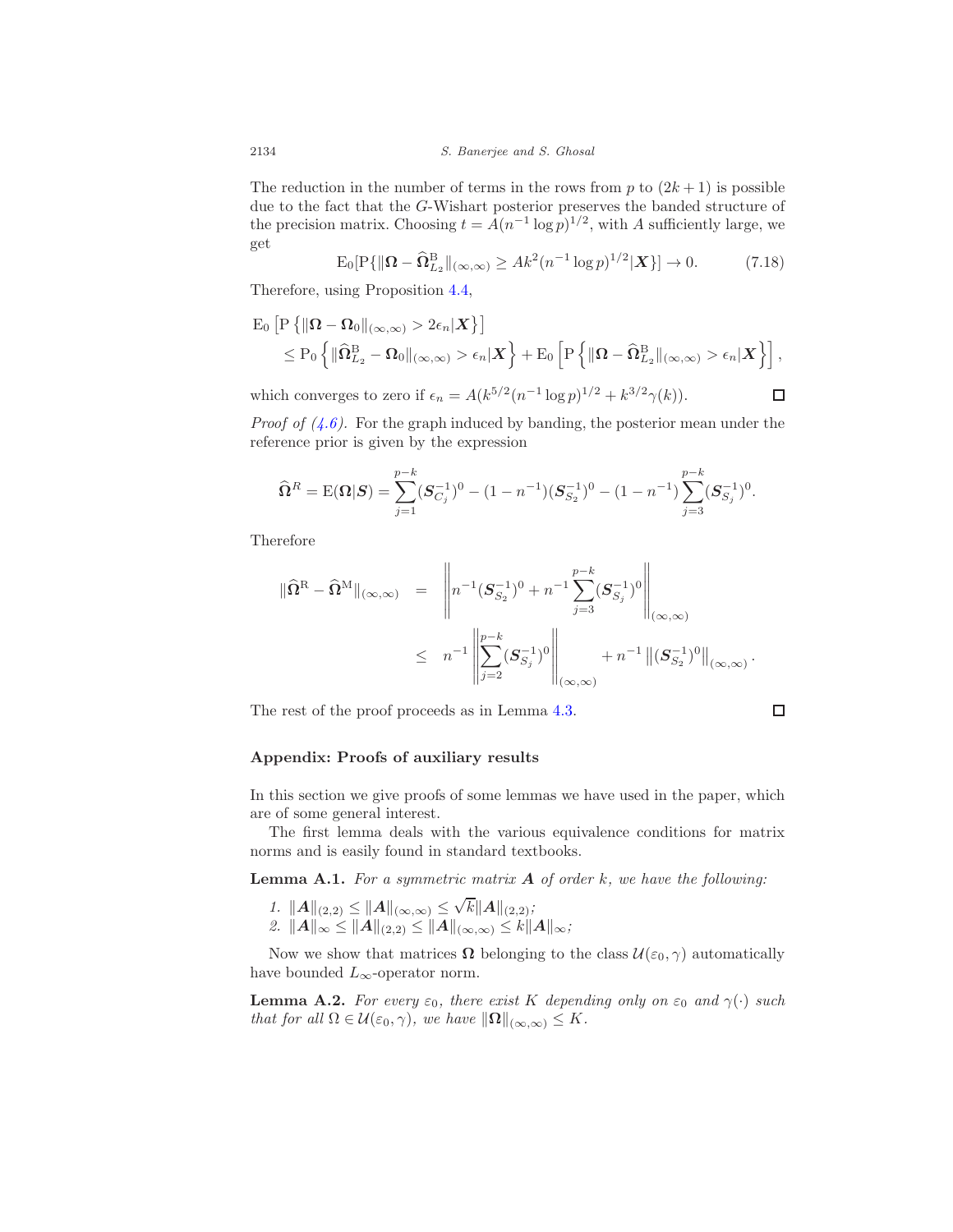The reduction in the number of terms in the rows from  $p$  to  $(2k+1)$  is possible due to the fact that the G-Wishart posterior preserves the banded structure of the precision matrix. Choosing  $t = A(n^{-1} \log p)^{1/2}$ , with A sufficiently large, we get

$$
E_0[P\{\|\Omega - \widehat{\Omega}_{L_2}^B\|_{(\infty,\infty)} \ge Ak^2(n^{-1}\log p)^{1/2}|\mathbf{X}\}] \to 0. \tag{7.18}
$$

Therefore, using Proposition 4.4,

$$
\begin{aligned} \n\mathcal{E}_0 \left[ \mathcal{P} \left\{ \|\mathbf{\Omega} - \mathbf{\Omega}_0\|_{(\infty,\infty)} > 2\epsilon_n |\mathbf{X} \right\} \right] \\ \n&\leq P_0 \left\{ \|\widehat{\mathbf{\Omega}}_{L_2}^{\text{B}} - \mathbf{\Omega}_0\|_{(\infty,\infty)} > \epsilon_n |\mathbf{X} \right\} + \mathcal{E}_0 \left[ \mathcal{P} \left\{ \|\mathbf{\Omega} - \widehat{\mathbf{\Omega}}_{L_2}^{\text{B}}\|_{(\infty,\infty)} > \epsilon_n |\mathbf{X} \right\} \right], \n\end{aligned}
$$
\nwhich converges to zero if  $\epsilon_n = A(k^{5/2}(n^{-1} \log p)^{1/2} + k^{3/2} \gamma(k)).$ 

\n
$$
\Box
$$

which converges to zero if  $\epsilon_n = A(k^{5/2}(n^{-1}\log p)^{1/2} + k^{3/2}\gamma(k)).$ 

*Proof of*  $(4.6)$ *.* For the graph induced by banding, the posterior mean under the reference prior is given by the expression

$$
\widehat{\Omega}^{R} = \mathbb{E}(\Omega|S) = \sum_{j=1}^{p-k} (S_{C_j}^{-1})^0 - (1 - n^{-1})(S_{S_2}^{-1})^0 - (1 - n^{-1}) \sum_{j=3}^{p-k} (S_{S_j}^{-1})^0.
$$

Therefore

$$
\begin{array}{rcl} \|\widehat{\mathbf{\Omega}}^{\text{R}}-\widehat{\mathbf{\Omega}}^{\text{M}}\|_{(\infty,\infty)} & = & \left\|n^{-1}(\boldsymbol{S}_{S_2}^{-1})^0+n^{-1}\sum_{j=3}^{p-k}(\boldsymbol{S}_{S_j}^{-1})^0\right\|_{(\infty,\infty)}\\ \\ & \leq & n^{-1}\left\|\sum_{j=2}^{p-k}(\boldsymbol{S}_{S_j}^{-1})^0\right\|_{(\infty,\infty)}+n^{-1}\left\|(\boldsymbol{S}_{S_2}^{-1})^0\right\|_{(\infty,\infty)}.\end{array}
$$

The rest of the proof proceeds as in Lemma 4.3.

$$
\Box
$$

#### Appendix: Proofs of auxiliary results

In this section we give proofs of some lemmas we have used in the paper, which are of some general interest.

The first lemma deals with the various equivalence conditions for matrix norms and is easily found in standard textbooks.

**Lemma A.1.** For a symmetric matrix  $A$  of order  $k$ , we have the following:

1.  $||A||_{(2,2)} \leq ||A||_{(\infty,\infty)} \leq \sqrt{k}||A||_{(2,2)};$ 2.  $||A||_{\infty} \leq ||A||_{(2,2)} \leq ||A||_{(\infty,\infty)} \leq k||A||_{\infty};$ 

Now we show that matrices  $\Omega$  belonging to the class  $\mathcal{U}(\varepsilon_0, \gamma)$  automatically have bounded  $L_{\infty}$ -operator norm.

**Lemma A.2.** For every  $\varepsilon_0$ , there exist K depending only on  $\varepsilon_0$  and  $\gamma(\cdot)$  such that for all  $\Omega \in \mathcal{U}(\varepsilon_0, \gamma)$ , we have  $\|\Omega\|_{(\infty,\infty)} \leq K$ .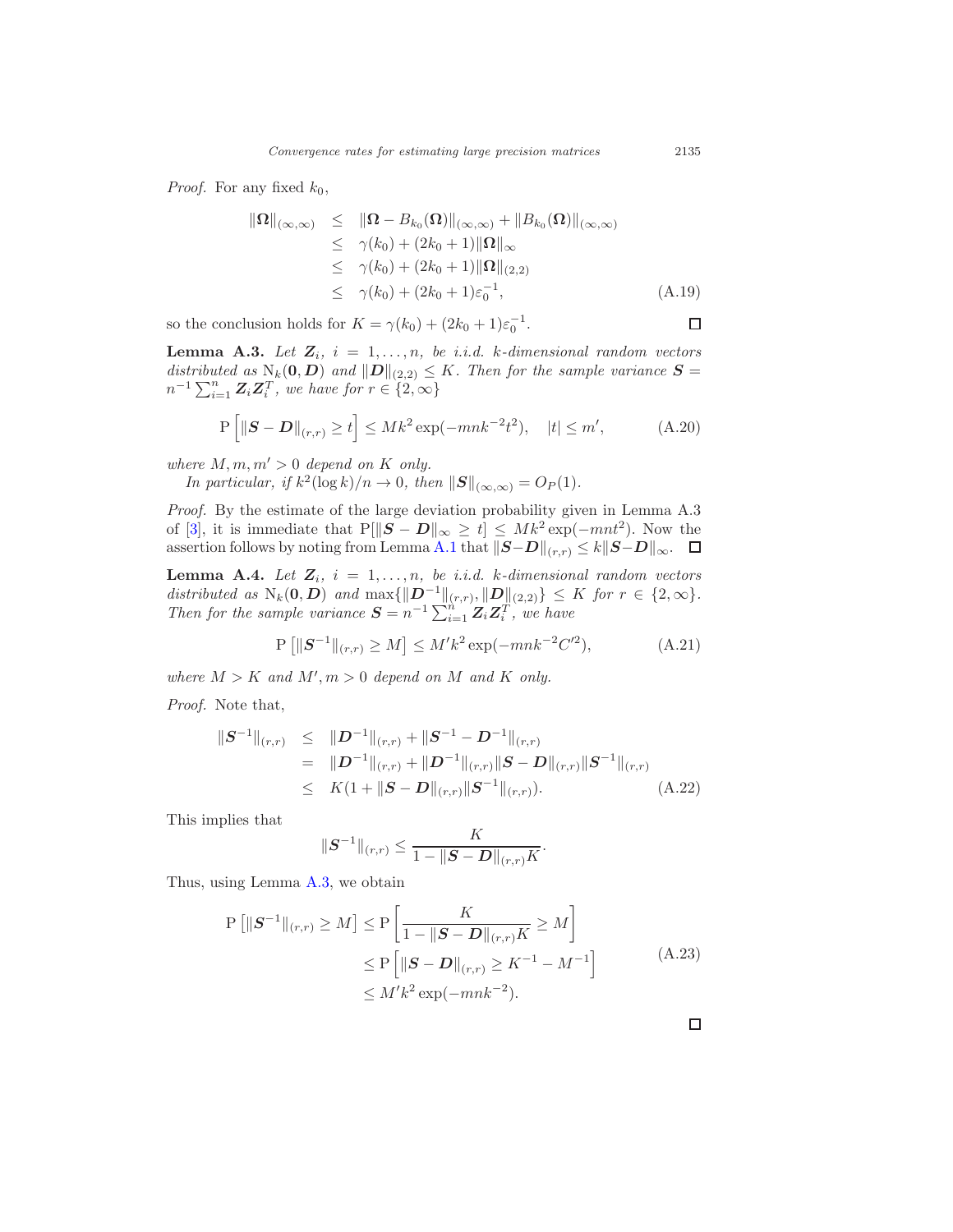*Proof.* For any fixed  $k_0$ ,

$$
\|\Omega\|_{(\infty,\infty)} \leq \|\Omega - B_{k_0}(\Omega)\|_{(\infty,\infty)} + \|B_{k_0}(\Omega)\|_{(\infty,\infty)}
$$
  
\n
$$
\leq \gamma(k_0) + (2k_0 + 1)\|\Omega\|_{\infty}
$$
  
\n
$$
\leq \gamma(k_0) + (2k_0 + 1)\|\Omega\|_{(2,2)}
$$
  
\n
$$
\leq \gamma(k_0) + (2k_0 + 1)\varepsilon_0^{-1}, \qquad (A.19)
$$

so the conclusion holds for  $K = \gamma(k_0) + (2k_0 + 1)\varepsilon_0^{-1}$ .

**Lemma A.3.** Let  $Z_i$ ,  $i = 1, ..., n$ , be i.i.d. k-dimensional random vectors distributed as  $N_k(0, D)$  and  $||D||_{(2,2)} \leq K$ . Then for the sample variance  $S =$  $n^{-1}\sum_{i=1}^n \mathbf{Z}_i \mathbf{Z}_i^T$ , we have for  $r \in \{2,\infty\}$ 

$$
\mathbf{P}\left[\left\|\mathbf{S}-\mathbf{D}\right\|_{(r,r)} \ge t\right] \le Mk^2 \exp(-mnk^{-2}t^2), \quad |t| \le m', \tag{A.20}
$$

where  $M, m, m' > 0$  depend on K only.

In particular, if 
$$
k^2(\log k)/n \to 0
$$
, then  $||S||_{(\infty,\infty)} = O_P(1)$ .

Proof. By the estimate of the large deviation probability given in Lemma A.3 of [3], it is immediate that  $P[\|\mathbf{S} - \mathbf{D}\|_{\infty} \geq t] \leq Mk^2 \exp(-mnt^2)$ . Now the assertion follows by noting from Lemma A.1 that  $||S-D||_{(r,r)} \le k||S-D||_{\infty}$ .

**Lemma A.4.** Let  $Z_i$ ,  $i = 1, ..., n$ , be i.i.d. k-dimensional random vectors distributed as  $N_k(0, D)$  and  $\max\{\Vert D^{-1}\Vert_{(r,r)}, \Vert D\Vert_{(2,2)}\} \leq K$  for  $r \in \{2, \infty\}.$ Then for the sample variance  $S = n^{-1} \sum_{i=1}^{n} Z_i Z_i^T$ , we have

$$
P\left[\|S^{-1}\|_{(r,r)} \ge M\right] \le M'k^2 \exp(-mnk^{-2}C'^2),\tag{A.21}
$$

where  $M > K$  and  $M', m > 0$  depend on M and K only.

Proof. Note that,

$$
\|S^{-1}\|_{(r,r)} \le \|D^{-1}\|_{(r,r)} + \|S^{-1} - D^{-1}\|_{(r,r)} \n= \|D^{-1}\|_{(r,r)} + \|D^{-1}\|_{(r,r)} \|S - D\|_{(r,r)} \|S^{-1}\|_{(r,r)} \n\le K(1 + \|S - D\|_{(r,r)} \|S^{-1}\|_{(r,r)}).
$$
\n(A.22)

This implies that

$$
\|\bm{S}^{-1}\|_{(r,r)} \leq \frac{K}{1-\|\bm{S}-\bm{D}\|_{(r,r)}K}.
$$

Thus, using Lemma A.3, we obtain

$$
P [||S^{-1}||_{(r,r)} \ge M] \le P \left[ \frac{K}{1 - ||S - D||_{(r,r)}K} \ge M \right]
$$
  
\n
$$
\le P [||S - D||_{(r,r)} \ge K^{-1} - M^{-1}]
$$
  
\n
$$
\le M'k^2 \exp(-mnk^{-2}).
$$
\n(A.23)

 $\Box$ 

 $\Box$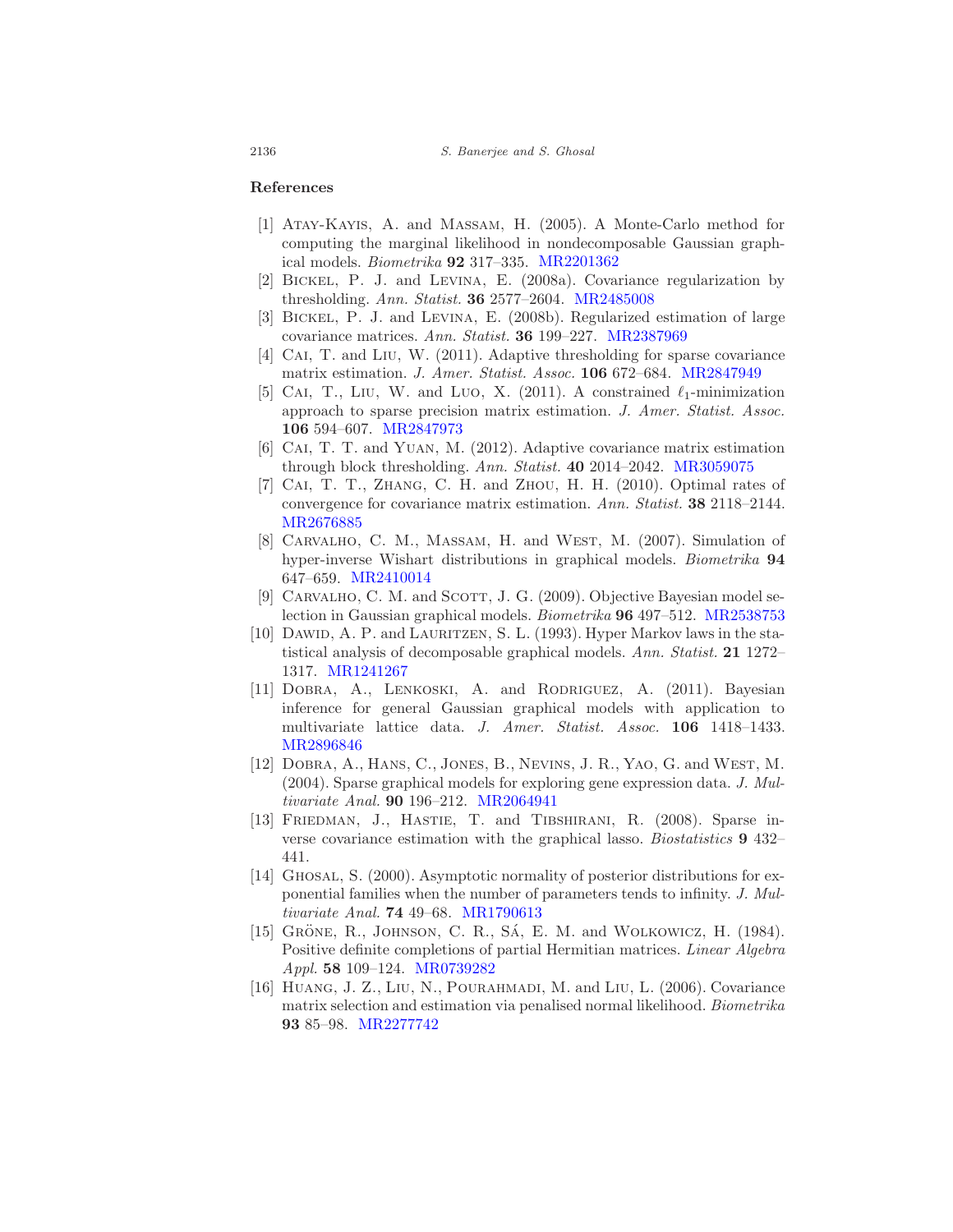### References

- [1] Atay-Kayis, A. and Massam, H. (2005). A Monte-Carlo method for computing the marginal likelihood in nondecomposable Gaussian graphical models. Biometrika 92 317–335. MR2201362
- [2] Bickel, P. J. and Levina, E. (2008a). Covariance regularization by thresholding. Ann. Statist. 36 2577–2604. MR2485008
- [3] Bickel, P. J. and Levina, E. (2008b). Regularized estimation of large covariance matrices. Ann. Statist. 36 199–227. MR2387969
- [4] CAI, T. and LIU, W. (2011). Adaptive thresholding for sparse covariance matrix estimation. J. Amer. Statist. Assoc. 106 672–684. MR2847949
- [5] CAI, T., LIU, W. and LUO, X. (2011). A constrained  $\ell_1$ -minimization approach to sparse precision matrix estimation. J. Amer. Statist. Assoc. 106 594–607. MR2847973
- [6] Cai, T. T. and Yuan, M. (2012). Adaptive covariance matrix estimation through block thresholding. Ann. Statist. 40 2014–2042. MR3059075
- [7] CAI, T. T., ZHANG, C. H. and ZHOU, H. H. (2010). Optimal rates of convergence for covariance matrix estimation. Ann. Statist. 38 2118–2144. MR2676885
- [8] CARVALHO, C. M., MASSAM, H. and WEST, M. (2007). Simulation of hyper-inverse Wishart distributions in graphical models. Biometrika 94 647–659. MR2410014
- [9] CARVALHO, C. M. and SCOTT, J. G. (2009). Objective Bayesian model selection in Gaussian graphical models. Biometrika 96 497–512. MR2538753
- [10] DAWID, A. P. and LAURITZEN, S. L. (1993). Hyper Markov laws in the statistical analysis of decomposable graphical models. Ann. Statist. 21 1272– 1317. MR1241267
- [11] DOBRA, A., LENKOSKI, A. and RODRIGUEZ, A. (2011). Bayesian inference for general Gaussian graphical models with application to multivariate lattice data. J. Amer. Statist. Assoc. 106 1418–1433. MR2896846
- [12] Dobra, A., Hans, C., Jones, B., Nevins, J. R., Yao, G. and West, M. (2004). Sparse graphical models for exploring gene expression data. J. Multivariate Anal. 90 196–212. MR2064941
- [13] FRIEDMAN, J., HASTIE, T. and TIBSHIRANI, R. (2008). Sparse inverse covariance estimation with the graphical lasso. Biostatistics 9 432– 441.
- [14] GHOSAL, S. (2000). Asymptotic normality of posterior distributions for exponential families when the number of parameters tends to infinity. J. Multivariate Anal. 74 49–68. MR1790613
- [15] GRÖNE, R., JOHNSON, C. R., SÁ, E. M. and WOLKOWICZ, H. (1984). Positive definite completions of partial Hermitian matrices. Linear Algebra Appl. 58 109–124. MR0739282
- [16] Huang, J. Z., Liu, N., Pourahmadi, M. and Liu, L. (2006). Covariance matrix selection and estimation via penalised normal likelihood. Biometrika 93 85–98. MR2277742